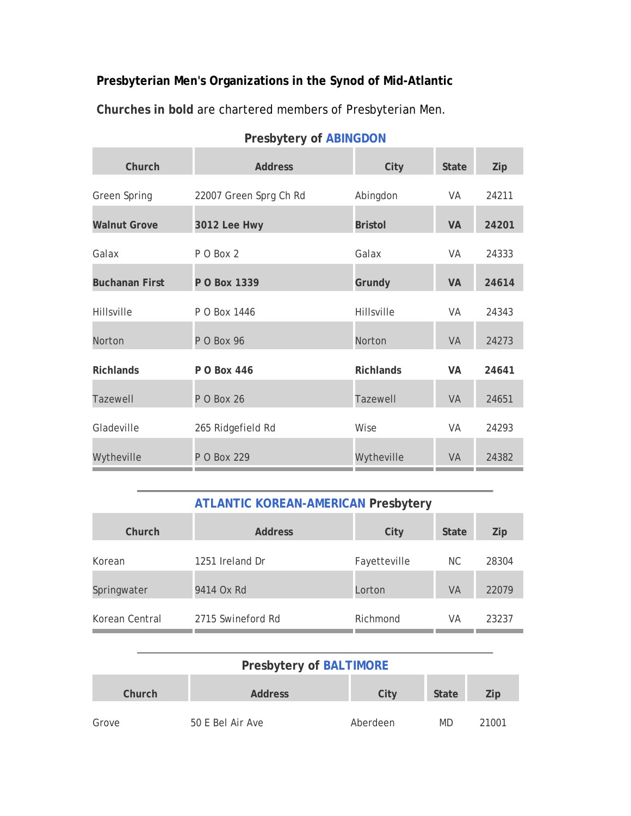#### **Presbyterian Men's Organizations in the Synod of Mid-Atlantic**

**Churches in bold** are chartered members of Presbyterian Men.

| Church                | <b>Address</b>         | City             | <b>State</b> | Zip   |
|-----------------------|------------------------|------------------|--------------|-------|
| Green Spring          | 22007 Green Sprg Ch Rd | Abingdon         | VA           | 24211 |
| <b>Walnut Grove</b>   | 3012 Lee Hwy           | <b>Bristol</b>   | <b>VA</b>    | 24201 |
| Galax                 | $P$ $O$ $B$ ox $2$     | Galax            | VA           | 24333 |
| <b>Buchanan First</b> | P O Box 1339           | Grundy           | <b>VA</b>    | 24614 |
| Hillsville            | P O Box 1446           | Hillsville       | VA           | 24343 |
| <b>Norton</b>         | P O Box 96             | Norton           | <b>VA</b>    | 24273 |
| <b>Richlands</b>      | P O Box 446            | <b>Richlands</b> | VA           | 24641 |
| Tazewell              | P O Box 26             | Tazewell         | <b>VA</b>    | 24651 |
| Gladeville            | 265 Ridgefield Rd      | Wise             | VA           | 24293 |
| Wytheville            | P O Box 229            | Wytheville       | <b>VA</b>    | 24382 |

### **Presbytery of ABINGDON**

#### **ATLANTIC KOREAN-AMERICAN Presbytery**

| Church         | <b>Address</b>    | City         | <b>State</b> | Zip   |
|----------------|-------------------|--------------|--------------|-------|
| Korean         | 1251 Ireland Dr   | Fayetteville | <b>NC</b>    | 28304 |
| Springwater    | 9414 Ox Rd        | Lorton       | VA           | 22079 |
| Korean Central | 2715 Swineford Rd | Richmond     | VA           | 23237 |

| <b>Presbytery of BALTIMORE</b> |                  |          |              |       |
|--------------------------------|------------------|----------|--------------|-------|
| Church                         | <b>Address</b>   | City     | <b>State</b> | Zip   |
| Grove                          | 50 E Bel Air Ave | Aberdeen | <b>MD</b>    | 21001 |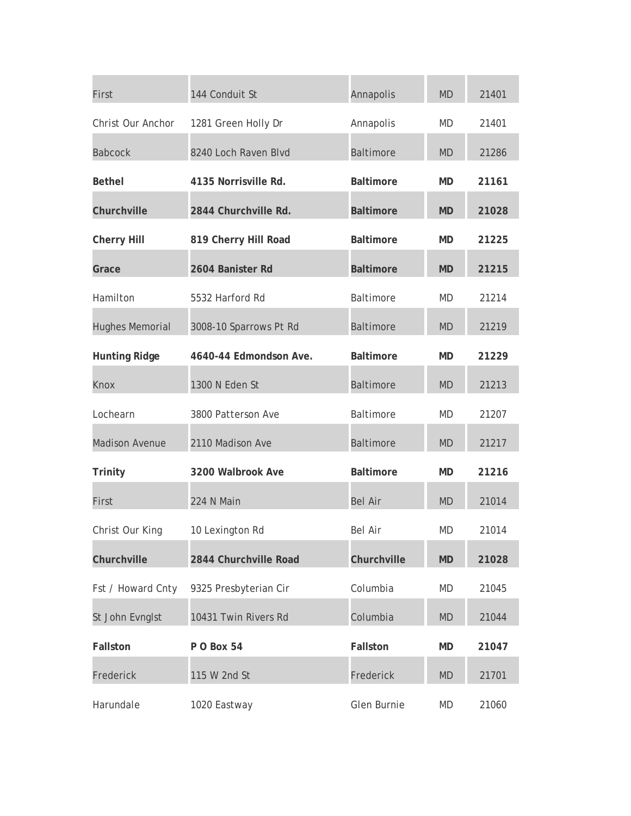| First                  | 144 Conduit St         | Annapolis        | <b>MD</b> | 21401 |
|------------------------|------------------------|------------------|-----------|-------|
| Christ Our Anchor      | 1281 Green Holly Dr    | Annapolis        | <b>MD</b> | 21401 |
| <b>Babcock</b>         | 8240 Loch Raven Blvd   | <b>Baltimore</b> | <b>MD</b> | 21286 |
| <b>Bethel</b>          | 4135 Norrisville Rd.   | <b>Baltimore</b> | MD        | 21161 |
| Churchville            | 2844 Churchville Rd.   | <b>Baltimore</b> | <b>MD</b> | 21028 |
| <b>Cherry Hill</b>     | 819 Cherry Hill Road   | <b>Baltimore</b> | <b>MD</b> | 21225 |
| Grace                  | 2604 Banister Rd       | <b>Baltimore</b> | <b>MD</b> | 21215 |
| Hamilton               | 5532 Harford Rd        | Baltimore        | <b>MD</b> | 21214 |
| <b>Hughes Memorial</b> | 3008-10 Sparrows Pt Rd | <b>Baltimore</b> | <b>MD</b> | 21219 |
| <b>Hunting Ridge</b>   | 4640-44 Edmondson Ave. | <b>Baltimore</b> | <b>MD</b> | 21229 |
| Knox                   | 1300 N Eden St         | Baltimore        | <b>MD</b> | 21213 |
| Lochearn               | 3800 Patterson Ave     | Baltimore        | <b>MD</b> | 21207 |
| <b>Madison Avenue</b>  | 2110 Madison Ave       | Baltimore        | <b>MD</b> | 21217 |
| Trinity                | 3200 Walbrook Ave      | <b>Baltimore</b> | <b>MD</b> | 21216 |
| First                  | 224 N Main             | <b>Bel Air</b>   | <b>MD</b> | 21014 |
| Christ Our King        | 10 Lexington Rd        | <b>Bel Air</b>   | MD        | 21014 |
| Churchville            | 2844 Churchville Road  | Churchville      | <b>MD</b> | 21028 |
| Fst / Howard Cnty      | 9325 Presbyterian Cir  | Columbia         | <b>MD</b> | 21045 |
| St John Evnglst        | 10431 Twin Rivers Rd   | Columbia         | <b>MD</b> | 21044 |
| Fallston               | P O Box 54             | Fallston         | <b>MD</b> | 21047 |
| Frederick              | 115 W 2nd St           | Frederick        | <b>MD</b> | 21701 |
| Harundale              | 1020 Eastway           | Glen Burnie      | <b>MD</b> | 21060 |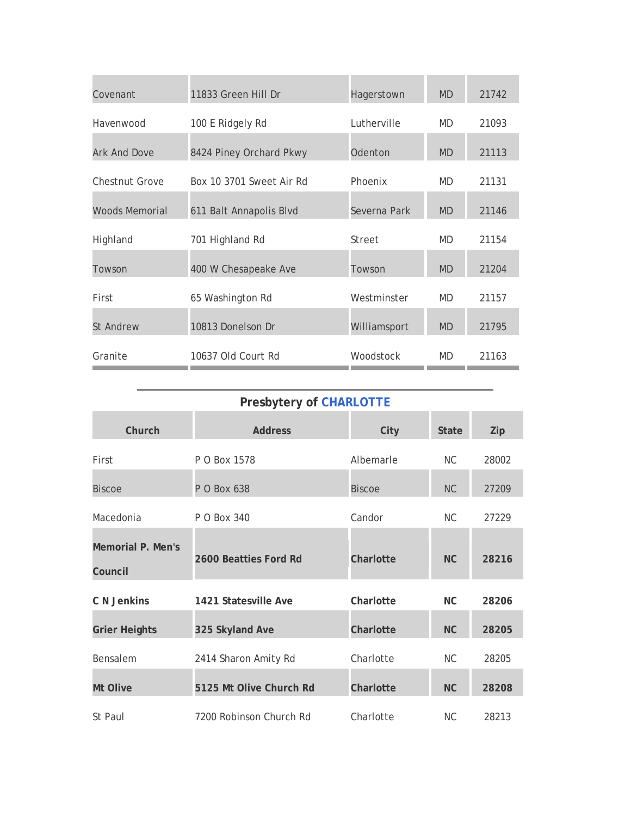| Covenant              | 11833 Green Hill Dr      | Hagerstown   | <b>MD</b> | 21742 |
|-----------------------|--------------------------|--------------|-----------|-------|
| Havenwood             | 100 E Ridgely Rd         | Lutherville  | <b>MD</b> | 21093 |
| <b>Ark And Dove</b>   | 8424 Piney Orchard Pkwy  | Odenton      | <b>MD</b> | 21113 |
| <b>Chestnut Grove</b> | Box 10 3701 Sweet Air Rd | Phoenix      | <b>MD</b> | 21131 |
| Woods Memorial        | 611 Balt Annapolis Blvd  | Severna Park | <b>MD</b> | 21146 |
| Highland              | 701 Highland Rd          | Street       | <b>MD</b> | 21154 |
| Towson                | 400 W Chesapeake Ave     | Towson       | <b>MD</b> | 21204 |
| First                 | 65 Washington Rd         | Westminster  | <b>MD</b> | 21157 |
| <b>St Andrew</b>      | 10813 Donelson Dr        | Williamsport | <b>MD</b> | 21795 |
| Granite               | 10637 Old Court Rd       | Woodstock    | MD        | 21163 |
|                       |                          |              |           |       |

|  | <b>Presbytery of CHARLOTTE</b> |
|--|--------------------------------|
|  |                                |

| Church                       | <b>Address</b>          | City          | <b>State</b> | Zip   |
|------------------------------|-------------------------|---------------|--------------|-------|
| First                        | P O Box 1578            | Albemarle     | NC.          | 28002 |
| <b>Biscoe</b>                | P O Box 638             | <b>Biscoe</b> | <b>NC</b>    | 27209 |
| Macedonia                    | P O Box 340             | Candor        | NC.          | 27229 |
| Memorial P. Men's<br>Council | 2600 Beatties Ford Rd   | Charlotte     | <b>NC</b>    | 28216 |
| <b>C</b> N Jenkins           | 1421 Statesville Ave    | Charlotte     | <b>NC</b>    | 28206 |
| <b>Grier Heights</b>         | 325 Skyland Ave         | Charlotte     | <b>NC</b>    | 28205 |
| Bensalem                     | 2414 Sharon Amity Rd    | Charlotte     | NC.          | 28205 |
| Mt Olive                     | 5125 Mt Olive Church Rd | Charlotte     | <b>NC</b>    | 28208 |
| St Paul                      | 7200 Robinson Church Rd | Charlotte     | NC.          | 28213 |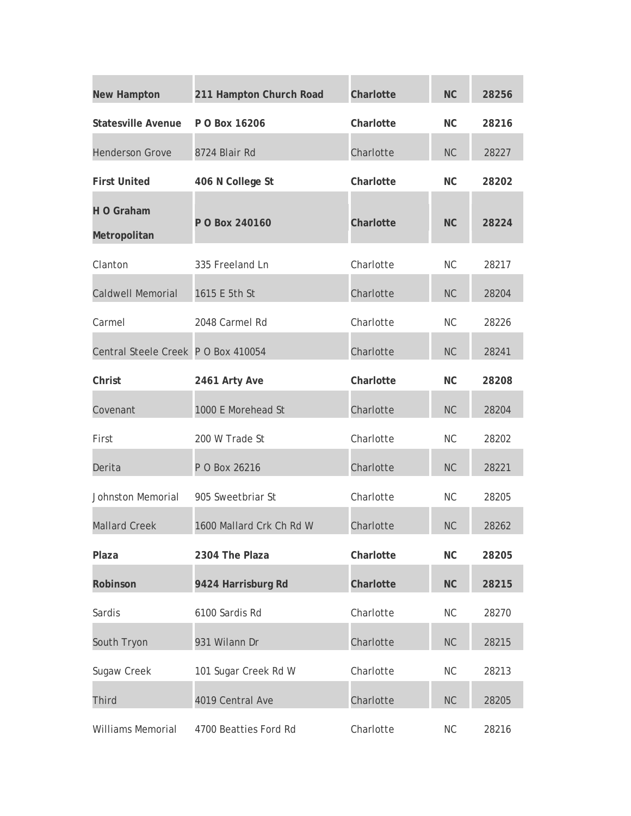| <b>New Hampton</b>                  | 211 Hampton Church Road  | Charlotte | <b>NC</b> | 28256 |
|-------------------------------------|--------------------------|-----------|-----------|-------|
| <b>Statesville Avenue</b>           | P O Box 16206            | Charlotte | <b>NC</b> | 28216 |
| <b>Henderson Grove</b>              | 8724 Blair Rd            | Charlotte | <b>NC</b> | 28227 |
| <b>First United</b>                 | 406 N College St         | Charlotte | <b>NC</b> | 28202 |
| H O Graham<br>Metropolitan          | P O Box 240160           | Charlotte | <b>NC</b> | 28224 |
| Clanton                             | 335 Freeland Ln          | Charlotte | <b>NC</b> | 28217 |
| Caldwell Memorial                   | 1615 E 5th St            | Charlotte | <b>NC</b> | 28204 |
| Carmel                              | 2048 Carmel Rd           | Charlotte | <b>NC</b> | 28226 |
| Central Steele Creek P O Box 410054 |                          | Charlotte | <b>NC</b> | 28241 |
| Christ                              | 2461 Arty Ave            | Charlotte | <b>NC</b> | 28208 |
| Covenant                            | 1000 E Morehead St       | Charlotte | <b>NC</b> | 28204 |
| First                               | 200 W Trade St           | Charlotte | <b>NC</b> | 28202 |
| Derita                              | P O Box 26216            | Charlotte | <b>NC</b> | 28221 |
| <b>Johnston Memorial</b>            | 905 Sweetbriar St        | Charlotte | <b>NC</b> | 28205 |
| <b>Mallard Creek</b>                | 1600 Mallard Crk Ch Rd W | Charlotte | <b>NC</b> | 28262 |
| Plaza                               | 2304 The Plaza           | Charlotte | <b>NC</b> | 28205 |
| Robinson                            | 9424 Harrisburg Rd       | Charlotte | <b>NC</b> | 28215 |
| Sardis                              | 6100 Sardis Rd           | Charlotte | <b>NC</b> | 28270 |
| South Tryon                         | 931 Wilann Dr            | Charlotte | <b>NC</b> | 28215 |
| Sugaw Creek                         | 101 Sugar Creek Rd W     | Charlotte | <b>NC</b> | 28213 |
| <b>Third</b>                        | 4019 Central Ave         | Charlotte | <b>NC</b> | 28205 |
| Williams Memorial                   | 4700 Beatties Ford Rd    | Charlotte | <b>NC</b> | 28216 |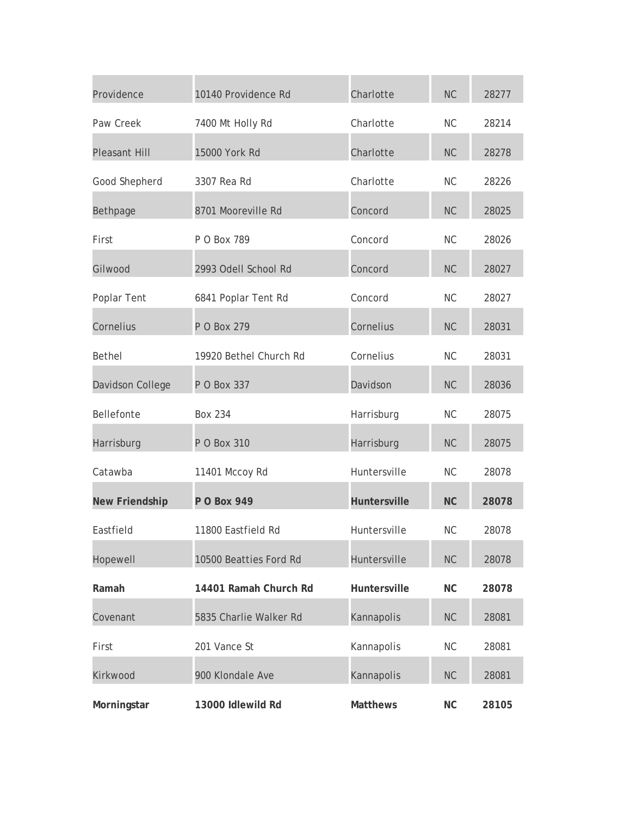| Providence            | 10140 Providence Rd    | Charlotte    | <b>NC</b> | 28277 |
|-----------------------|------------------------|--------------|-----------|-------|
| Paw Creek             | 7400 Mt Holly Rd       | Charlotte    | <b>NC</b> | 28214 |
| <b>Pleasant Hill</b>  | 15000 York Rd          | Charlotte    | <b>NC</b> | 28278 |
| Good Shepherd         | 3307 Rea Rd            | Charlotte    | <b>NC</b> | 28226 |
| Bethpage              | 8701 Mooreville Rd     | Concord      | <b>NC</b> | 28025 |
| First                 | P O Box 789            | Concord      | <b>NC</b> | 28026 |
| Gilwood               | 2993 Odell School Rd   | Concord      | <b>NC</b> | 28027 |
| Poplar Tent           | 6841 Poplar Tent Rd    | Concord      | <b>NC</b> | 28027 |
| Cornelius             | P O Box 279            | Cornelius    | <b>NC</b> | 28031 |
| <b>Bethel</b>         | 19920 Bethel Church Rd | Cornelius    | <b>NC</b> | 28031 |
| Davidson College      | P O Box 337            | Davidson     | <b>NC</b> | 28036 |
| Bellefonte            | <b>Box 234</b>         | Harrisburg   | <b>NC</b> | 28075 |
| Harrisburg            | P O Box 310            | Harrisburg   | <b>NC</b> | 28075 |
| Catawba               | 11401 Mccoy Rd         | Huntersville | <b>NC</b> | 28078 |
| <b>New Friendship</b> | P O Box 949            | Huntersville | <b>NC</b> | 28078 |
| Eastfield             | 11800 Eastfield Rd     | Huntersville | <b>NC</b> | 28078 |
| Hopewell              | 10500 Beatties Ford Rd | Huntersville | <b>NC</b> | 28078 |
| Ramah                 | 14401 Ramah Church Rd  | Huntersville | <b>NC</b> | 28078 |
| Covenant              | 5835 Charlie Walker Rd | Kannapolis   | <b>NC</b> | 28081 |
| First                 | 201 Vance St           | Kannapolis   | <b>NC</b> | 28081 |
| Kirkwood              | 900 Klondale Ave       | Kannapolis   | <b>NC</b> | 28081 |
| Morningstar           | 13000 Idlewild Rd      | Matthews     | <b>NC</b> | 28105 |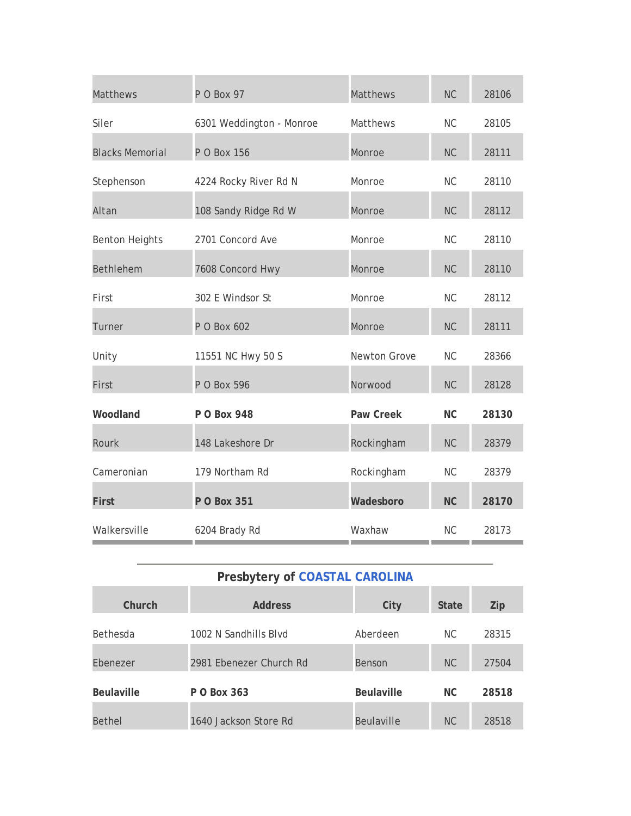| <b>Matthews</b>        | P O Box 97               | <b>Matthews</b> | <b>NC</b> | 28106 |
|------------------------|--------------------------|-----------------|-----------|-------|
| Siler                  | 6301 Weddington - Monroe | Matthews        | <b>NC</b> | 28105 |
| <b>Blacks Memorial</b> | P O Box 156              | Monroe          | <b>NC</b> | 28111 |
| Stephenson             | 4224 Rocky River Rd N    | Monroe          | <b>NC</b> | 28110 |
| Altan                  | 108 Sandy Ridge Rd W     | Monroe          | <b>NC</b> | 28112 |
| <b>Benton Heights</b>  | 2701 Concord Ave         | Monroe          | <b>NC</b> | 28110 |
| <b>Bethlehem</b>       | 7608 Concord Hwy         | Monroe          | <b>NC</b> | 28110 |
| First                  | 302 E Windsor St         | Monroe          | <b>NC</b> | 28112 |
| Turner                 | P O Box 602              | Monroe          | <b>NC</b> | 28111 |
| Unity                  | 11551 NC Hwy 50 S        | Newton Grove    | <b>NC</b> | 28366 |
| First                  | P O Box 596              | Norwood         | <b>NC</b> | 28128 |
| Woodland               | P O Box 948              | Paw Creek       | <b>NC</b> | 28130 |
| <b>Rourk</b>           | 148 Lakeshore Dr         | Rockingham      | <b>NC</b> | 28379 |
| Cameronian             | 179 Northam Rd           | Rockingham      | <b>NC</b> | 28379 |
| <b>First</b>           | P O Box 351              | Wadesboro       | <b>NC</b> | 28170 |
| Walkersville           | 6204 Brady Rd            | Waxhaw          | <b>NC</b> | 28173 |
|                        |                          |                 |           |       |

# **Presbytery of COASTAL CAROLINA**

| Church            | <b>Address</b>          | City              | <b>State</b>   | Zip   |
|-------------------|-------------------------|-------------------|----------------|-------|
| Bethesda          | 1002 N Sandhills Blyd   | Aberdeen          | NC.            | 28315 |
| Ebenezer          | 2981 Ebenezer Church Rd | Benson            | N <sub>C</sub> | 27504 |
| <b>Beulaville</b> | P O Box 363             | <b>Beulaville</b> | <b>NC</b>      | 28518 |
| Bethel            | 1640 Jackson Store Rd   | Beulaville        | <b>NC</b>      | 28518 |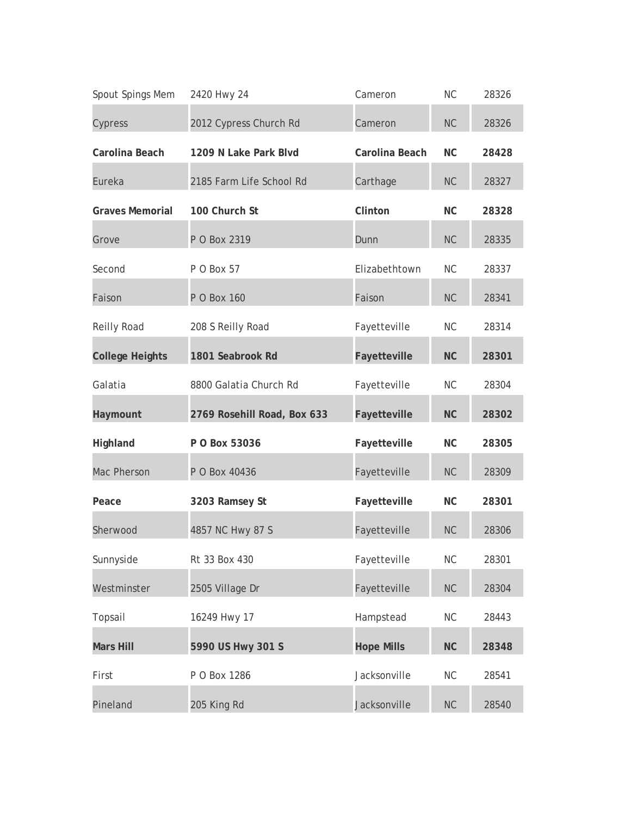| Spout Spings Mem       | 2420 Hwy 24                 | Cameron           | <b>NC</b> | 28326 |
|------------------------|-----------------------------|-------------------|-----------|-------|
| Cypress                | 2012 Cypress Church Rd      | Cameron           | <b>NC</b> | 28326 |
| Carolina Beach         | 1209 N Lake Park Blvd       | Carolina Beach    | <b>NC</b> | 28428 |
| Eureka                 | 2185 Farm Life School Rd    | Carthage          | <b>NC</b> | 28327 |
| <b>Graves Memorial</b> | 100 Church St               | Clinton           | <b>NC</b> | 28328 |
| Grove                  | P O Box 2319                | Dunn              | <b>NC</b> | 28335 |
| Second                 | P O Box 57                  | Elizabethtown     | <b>NC</b> | 28337 |
| Faison                 | P O Box 160                 | Faison            | <b>NC</b> | 28341 |
| <b>Reilly Road</b>     | 208 S Reilly Road           | Fayetteville      | <b>NC</b> | 28314 |
| <b>College Heights</b> | 1801 Seabrook Rd            | Fayetteville      | <b>NC</b> | 28301 |
| Galatia                | 8800 Galatia Church Rd      | Fayetteville      | <b>NC</b> | 28304 |
| Haymount               | 2769 Rosehill Road, Box 633 | Fayetteville      | <b>NC</b> | 28302 |
| Highland               | P O Box 53036               | Fayetteville      | <b>NC</b> | 28305 |
| Mac Pherson            | P O Box 40436               | Fayetteville      | <b>NC</b> | 28309 |
| Peace                  | 3203 Ramsey St              | Fayetteville      | <b>NC</b> | 28301 |
| Sherwood               | 4857 NC Hwy 87 S            | Fayetteville      | <b>NC</b> | 28306 |
| Sunnyside              | Rt 33 Box 430               | Fayetteville      | <b>NC</b> | 28301 |
| Westminster            | 2505 Village Dr             | Fayetteville      | <b>NC</b> | 28304 |
| Topsail                | 16249 Hwy 17                | Hampstead         | <b>NC</b> | 28443 |
| <b>Mars Hill</b>       | 5990 US Hwy 301 S           | <b>Hope Mills</b> | <b>NC</b> | 28348 |
| First                  | P O Box 1286                | Jacksonville      | <b>NC</b> | 28541 |
| Pineland               | 205 King Rd                 | Jacksonville      | <b>NC</b> | 28540 |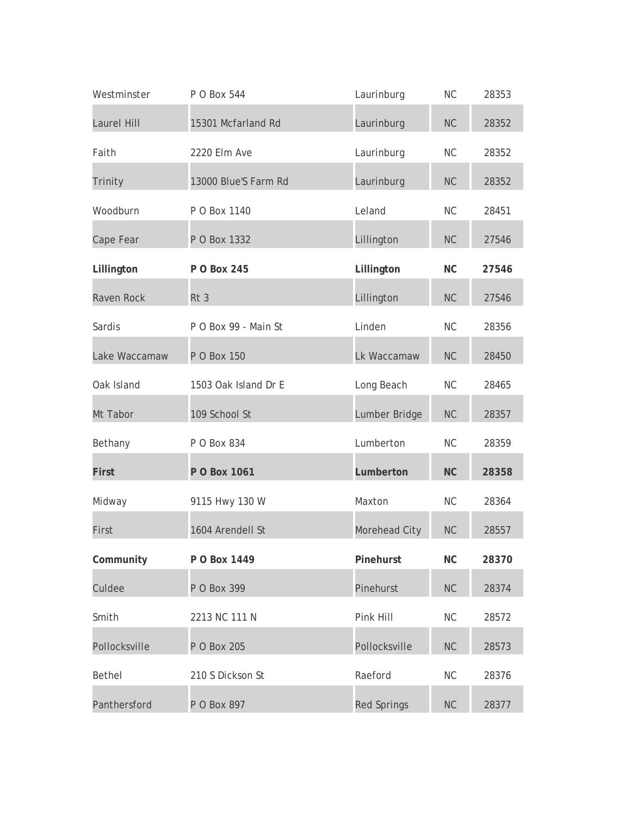| Westminster        | P O Box 544          | Laurinburg         | <b>NC</b> | 28353 |
|--------------------|----------------------|--------------------|-----------|-------|
| <b>Laurel Hill</b> | 15301 Mcfarland Rd   | Laurinburg         | <b>NC</b> | 28352 |
| Faith              | 2220 Elm Ave         | Laurinburg         | <b>NC</b> | 28352 |
| Trinity            | 13000 Blue'S Farm Rd | Laurinburg         | <b>NC</b> | 28352 |
| Woodburn           | P O Box 1140         | Leland             | <b>NC</b> | 28451 |
| Cape Fear          | P O Box 1332         | Lillington         | <b>NC</b> | 27546 |
| Lillington         | P O Box 245          | Lillington         | <b>NC</b> | 27546 |
| Raven Rock         | Rt 3                 | Lillington         | <b>NC</b> | 27546 |
| Sardis             | P O Box 99 - Main St | Linden             | <b>NC</b> | 28356 |
| Lake Waccamaw      | P O Box 150          | Lk Waccamaw        | <b>NC</b> | 28450 |
| Oak Island         | 1503 Oak Island Dr E | Long Beach         | <b>NC</b> | 28465 |
| Mt Tabor           | 109 School St        | Lumber Bridge      | <b>NC</b> | 28357 |
| Bethany            | P O Box 834          | Lumberton          | <b>NC</b> | 28359 |
| <b>First</b>       | P O Box 1061         | Lumberton          | <b>NC</b> | 28358 |
| Midway             | 9115 Hwy 130 W       | Maxton             | <b>NC</b> | 28364 |
| First              | 1604 Arendell St     | Morehead City      | <b>NC</b> | 28557 |
| Community          | P O Box 1449         | Pinehurst          | <b>NC</b> | 28370 |
| Culdee             | P O Box 399          | Pinehurst          | <b>NC</b> | 28374 |
| Smith              | 2213 NC 111 N        | Pink Hill          | <b>NC</b> | 28572 |
| Pollocksville      | P O Box 205          | Pollocksville      | <b>NC</b> | 28573 |
| Bethel             | 210 S Dickson St     | Raeford            | <b>NC</b> | 28376 |
| Panthersford       | P O Box 897          | <b>Red Springs</b> | <b>NC</b> | 28377 |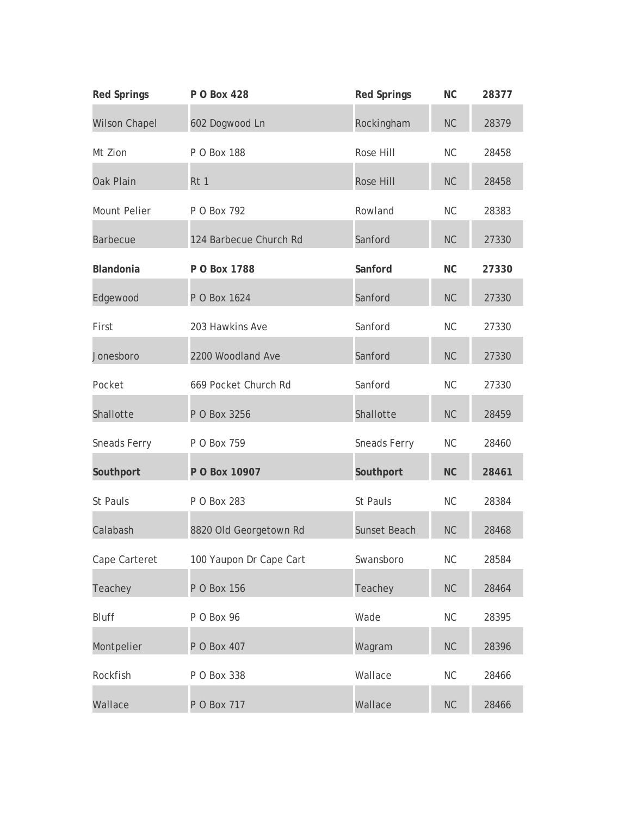| <b>Red Springs</b>   | P O Box 428             | <b>Red Springs</b>  | <b>NC</b> | 28377 |
|----------------------|-------------------------|---------------------|-----------|-------|
| <b>Wilson Chapel</b> | 602 Dogwood Ln          | Rockingham          | <b>NC</b> | 28379 |
| Mt Zion              | P O Box 188             | Rose Hill           | <b>NC</b> | 28458 |
| Oak Plain            | Rt 1                    | <b>Rose Hill</b>    | <b>NC</b> | 28458 |
| Mount Pelier         | P O Box 792             | Rowland             | <b>NC</b> | 28383 |
| <b>Barbecue</b>      | 124 Barbecue Church Rd  | Sanford             | <b>NC</b> | 27330 |
| Blandonia            | P O Box 1788            | Sanford             | <b>NC</b> | 27330 |
| Edgewood             | P O Box 1624            | Sanford             | <b>NC</b> | 27330 |
| First                | 203 Hawkins Ave         | Sanford             | <b>NC</b> | 27330 |
| Jonesboro            | 2200 Woodland Ave       | Sanford             | <b>NC</b> | 27330 |
| Pocket               | 669 Pocket Church Rd    | Sanford             | <b>NC</b> | 27330 |
| Shallotte            | P O Box 3256            | Shallotte           | <b>NC</b> | 28459 |
| Sneads Ferry         | P O Box 759             | Sneads Ferry        | <b>NC</b> | 28460 |
| Southport            | P O Box 10907           | Southport           | <b>NC</b> | 28461 |
| St Pauls             | P O Box 283             | St Pauls            | <b>NC</b> | 28384 |
| Calabash             | 8820 Old Georgetown Rd  | <b>Sunset Beach</b> | <b>NC</b> | 28468 |
| Cape Carteret        | 100 Yaupon Dr Cape Cart | Swansboro           | <b>NC</b> | 28584 |
| Teachey              | P O Box 156             | Teachey             | <b>NC</b> | 28464 |
| <b>Bluff</b>         | PO Box 96               | Wade                | <b>NC</b> | 28395 |
| Montpelier           | P O Box 407             | Wagram              | NC        | 28396 |
| Rockfish             | P O Box 338             | Wallace             | <b>NC</b> | 28466 |
| Wallace              | P O Box 717             | Wallace             | <b>NC</b> | 28466 |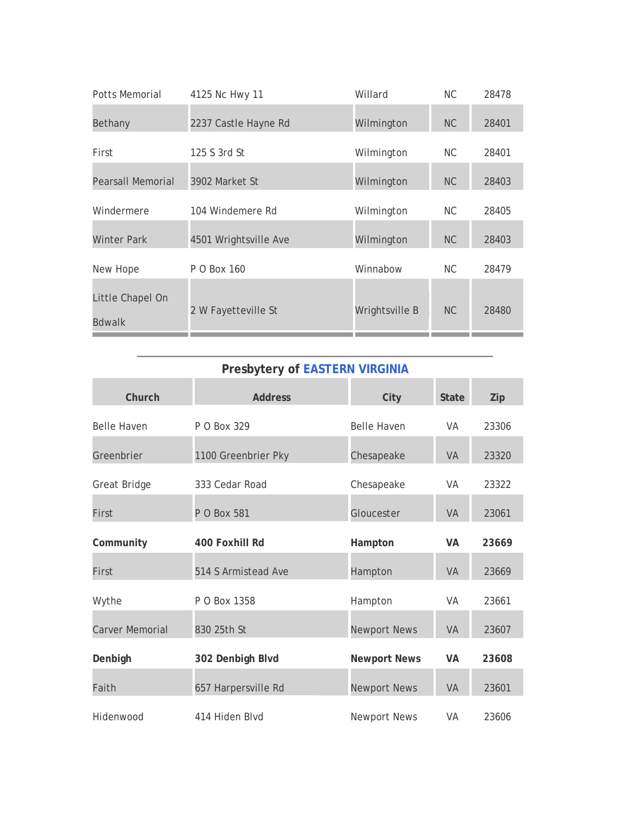| Potts Memorial           | 4125 Nc Hwy 11        | Willard        | <b>NC</b> | 28478 |
|--------------------------|-----------------------|----------------|-----------|-------|
| Bethany                  | 2237 Castle Hayne Rd  | Wilmington     | NC.       | 28401 |
| First                    | 125 S 3rd St          | Wilmington     | NC.       | 28401 |
| <b>Pearsall Memorial</b> | 3902 Market St        | Wilmington     | NC.       | 28403 |
| Windermere               | 104 Windemere Rd      | Wilmington     | NC.       | 28405 |
| <b>Winter Park</b>       | 4501 Wrightsville Ave | Wilmington     | NC.       | 28403 |
| New Hope                 | P O Box 160           | Winnabow       | <b>NC</b> | 28479 |
| Little Chapel On         |                       |                |           |       |
| <b>Bdwalk</b>            | 2 W Fayetteville St   | Wrightsville B | <b>NC</b> | 28480 |

# **Presbytery of EASTERN VIRGINIA**

| Church                 | <b>Address</b>      | City                | <b>State</b> | Zip   |
|------------------------|---------------------|---------------------|--------------|-------|
| <b>Belle Haven</b>     | P O Box 329         | <b>Belle Haven</b>  | <b>VA</b>    | 23306 |
| Greenbrier             | 1100 Greenbrier Pky | Chesapeake          | <b>VA</b>    | 23320 |
| Great Bridge           | 333 Cedar Road      | Chesapeake          | <b>VA</b>    | 23322 |
| First                  | P O Box 581         | Gloucester          | <b>VA</b>    | 23061 |
| Community              | 400 Foxhill Rd      | Hampton             | VA           | 23669 |
| First                  | 514 S Armistead Ave | Hampton             | <b>VA</b>    | 23669 |
| Wythe                  | P O Box 1358        | Hampton             | <b>VA</b>    | 23661 |
| <b>Carver Memorial</b> | 830 25th St         | <b>Newport News</b> | <b>VA</b>    | 23607 |
| Denbigh                | 302 Denbigh Blvd    | <b>Newport News</b> | <b>VA</b>    | 23608 |
| Faith                  | 657 Harpersville Rd | <b>Newport News</b> | <b>VA</b>    | 23601 |
| Hidenwood              | 414 Hiden Blvd      | Newport News        | <b>VA</b>    | 23606 |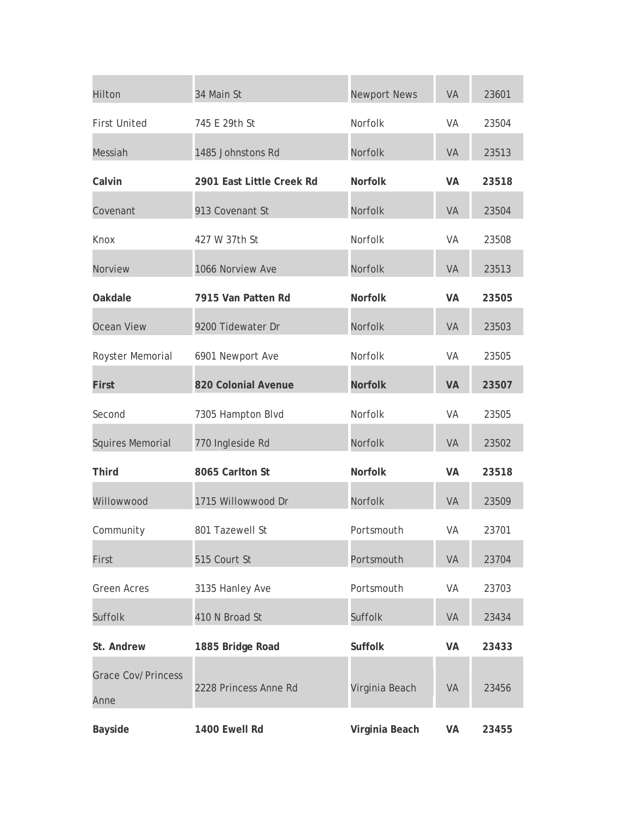| Hilton                            | 34 Main St                | <b>Newport News</b> | VA        | 23601 |
|-----------------------------------|---------------------------|---------------------|-----------|-------|
| <b>First United</b>               | 745 E 29th St             | Norfolk             | VA        | 23504 |
| Messiah                           | 1485 Johnstons Rd         | <b>Norfolk</b>      | VA        | 23513 |
| Calvin                            | 2901 East Little Creek Rd | <b>Norfolk</b>      | VA        | 23518 |
| Covenant                          | 913 Covenant St           | Norfolk             | <b>VA</b> | 23504 |
| Knox                              | 427 W 37th St             | Norfolk             | VA        | 23508 |
| <b>Norview</b>                    | 1066 Norview Ave          | Norfolk             | <b>VA</b> | 23513 |
| <b>Oakdale</b>                    | 7915 Van Patten Rd        | <b>Norfolk</b>      | VA        | 23505 |
| <b>Ocean View</b>                 | 9200 Tidewater Dr         | Norfolk             | VA        | 23503 |
| Royster Memorial                  | 6901 Newport Ave          | Norfolk             | VA        | 23505 |
| First                             | 820 Colonial Avenue       | <b>Norfolk</b>      | <b>VA</b> | 23507 |
| Second                            | 7305 Hampton Blvd         | Norfolk             | VA        | 23505 |
| Squires Memorial                  | 770 Ingleside Rd          | Norfolk             | VA        | 23502 |
| <b>Third</b>                      | 8065 Carlton St           | <b>Norfolk</b>      | VA        | 23518 |
| Willowwood                        | 1715 Willowwood Dr        | Norfolk             | <b>VA</b> | 23509 |
| Community                         | 801 Tazewell St           | Portsmouth          | VA        | 23701 |
| First                             | 515 Court St              | Portsmouth          | VA        | 23704 |
| <b>Green Acres</b>                | 3135 Hanley Ave           | Portsmouth          | VA        | 23703 |
| <b>Suffolk</b>                    | 410 N Broad St            | Suffolk             | VA        | 23434 |
| St. Andrew                        | 1885 Bridge Road          | <b>Suffolk</b>      | VA        | 23433 |
| <b>Grace Cov/Princess</b><br>Anne | 2228 Princess Anne Rd     | Virginia Beach      | VA        | 23456 |
| Bayside                           | 1400 Ewell Rd             | Virginia Beach      | VA        | 23455 |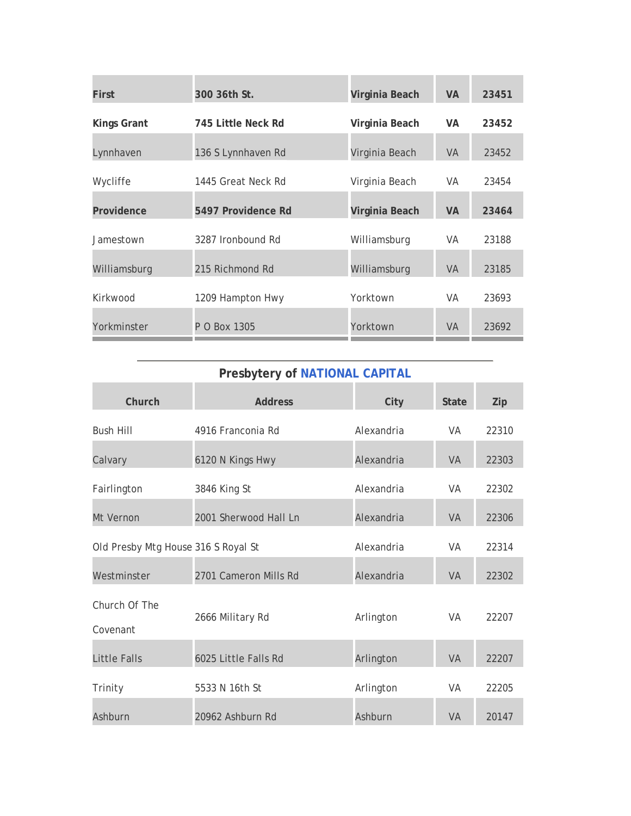| First              | 300 36th St.       | Virginia Beach | <b>VA</b> | 23451 |
|--------------------|--------------------|----------------|-----------|-------|
| <b>Kings Grant</b> | 745 Little Neck Rd | Virginia Beach | VA        | 23452 |
| Lynnhaven          | 136 S Lynnhaven Rd | Virginia Beach | VA.       | 23452 |
| Wycliffe           | 1445 Great Neck Rd | Virginia Beach | VA        | 23454 |
| Providence         | 5497 Providence Rd | Virginia Beach | <b>VA</b> | 23464 |
| Jamestown          | 3287 Ironbound Rd  | Williamsburg   | VA        | 23188 |
| Williamsburg       | 215 Richmond Rd    | Williamsburg   | <b>VA</b> | 23185 |
| Kirkwood           | 1209 Hampton Hwy   | Yorktown       | VA        | 23693 |
| Yorkminster        | P O Box 1305       | Yorktown       | <b>VA</b> | 23692 |
|                    |                    |                |           |       |

# **Presbytery of NATIONAL CAPITAL**

| Church                              | <b>Address</b>        | City       | <b>State</b> | Zip   |
|-------------------------------------|-----------------------|------------|--------------|-------|
| <b>Bush Hill</b>                    | 4916 Franconia Rd     | Alexandria | VA           | 22310 |
| Calvary                             | 6120 N Kings Hwy      | Alexandria | <b>VA</b>    | 22303 |
| Fairlington                         | 3846 King St          | Alexandria | VA           | 22302 |
| Mt Vernon                           | 2001 Sherwood Hall Ln | Alexandria | <b>VA</b>    | 22306 |
| Old Presby Mtg House 316 S Royal St |                       | Alexandria | VA           | 22314 |
| Westminster                         | 2701 Cameron Mills Rd | Alexandria | <b>VA</b>    | 22302 |
| Church Of The                       |                       |            |              |       |
| Covenant                            | 2666 Military Rd      | Arlington  | VA           | 22207 |
| <b>Little Falls</b>                 | 6025 Little Falls Rd  | Arlington  | <b>VA</b>    | 22207 |
| Trinity                             | 5533 N 16th St        | Arlington  | VA           | 22205 |
| Ashburn                             | 20962 Ashburn Rd      | Ashburn    | <b>VA</b>    | 20147 |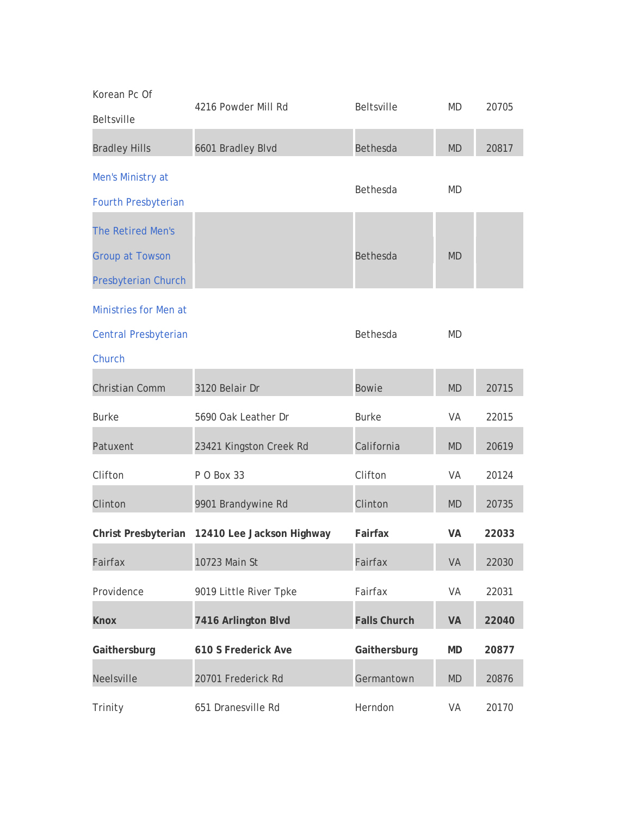| Korean Pc Of<br>Beltsville  | 4216 Powder Mill Rd       | Beltsville          | <b>MD</b> | 20705 |
|-----------------------------|---------------------------|---------------------|-----------|-------|
| <b>Bradley Hills</b>        | 6601 Bradley Blvd         | <b>Bethesda</b>     | <b>MD</b> | 20817 |
| Men's Ministry at           |                           | Bethesda            | <b>MD</b> |       |
| <b>Fourth Presbyterian</b>  |                           |                     |           |       |
| The Retired Men's           |                           |                     |           |       |
| <b>Group at Towson</b>      |                           | <b>Bethesda</b>     | <b>MD</b> |       |
| Presbyterian Church         |                           |                     |           |       |
| Ministries for Men at       |                           |                     |           |       |
| <b>Central Presbyterian</b> |                           | Bethesda            | MD        |       |
| Church                      |                           |                     |           |       |
| Christian Comm              | 3120 Belair Dr            | <b>Bowie</b>        | <b>MD</b> | 20715 |
| <b>Burke</b>                | 5690 Oak Leather Dr       | <b>Burke</b>        | VA        | 22015 |
|                             |                           |                     |           |       |
| Patuxent                    | 23421 Kingston Creek Rd   | California          | <b>MD</b> | 20619 |
| Clifton                     | P O Box 33                | Clifton             | VA        | 20124 |
| Clinton                     | 9901 Brandywine Rd        | Clinton             | <b>MD</b> | 20735 |
| Christ Presbyterian         | 12410 Lee Jackson Highway | Fairfax             | VA        | 22033 |
| Fairfax                     | 10723 Main St             | Fairfax             | VA        | 22030 |
| Providence                  | 9019 Little River Tpke    | Fairfax             | VA        | 22031 |
| <b>Knox</b>                 | 7416 Arlington Blvd       | <b>Falls Church</b> | VA        | 22040 |
| Gaithersburg                | 610 S Frederick Ave       | Gaithersburg        | <b>MD</b> | 20877 |
| Neelsville                  | 20701 Frederick Rd        | Germantown          | <b>MD</b> | 20876 |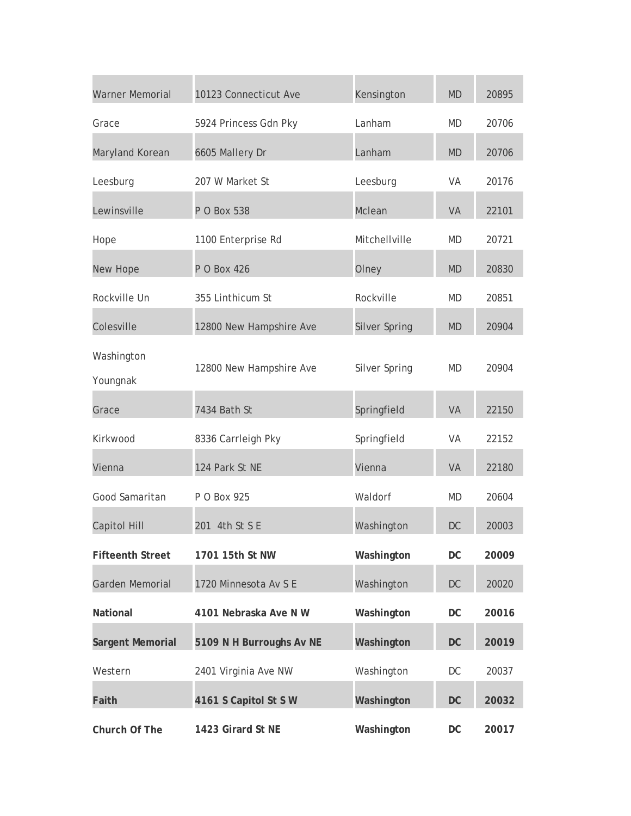| <b>Warner Memorial</b>  | 10123 Connecticut Ave    | Kensington           | <b>MD</b> | 20895 |
|-------------------------|--------------------------|----------------------|-----------|-------|
| Grace                   | 5924 Princess Gdn Pky    | Lanham               | <b>MD</b> | 20706 |
| Maryland Korean         | 6605 Mallery Dr          | Lanham               | <b>MD</b> | 20706 |
| Leesburg                | 207 W Market St          | Leesburg             | VA        | 20176 |
| Lewinsville             | P O Box 538              | Mclean               | VA        | 22101 |
| Hope                    | 1100 Enterprise Rd       | Mitchellville        | <b>MD</b> | 20721 |
| New Hope                | P O Box 426              | Olney                | <b>MD</b> | 20830 |
| Rockville Un            | 355 Linthicum St         | Rockville            | <b>MD</b> | 20851 |
| Colesville              | 12800 New Hampshire Ave  | <b>Silver Spring</b> | <b>MD</b> | 20904 |
| Washington<br>Youngnak  | 12800 New Hampshire Ave  | Silver Spring        | MD        | 20904 |
| Grace                   | 7434 Bath St             | Springfield          | VA        | 22150 |
| Kirkwood                | 8336 Carrleigh Pky       | Springfield          | VA        | 22152 |
| Vienna                  | 124 Park St NE           | Vienna               | VA        | 22180 |
| Good Samaritan          | P O Box 925              | Waldorf              | <b>MD</b> | 20604 |
| Capitol Hill            | 201 4th St S E           | Washington           | DC        | 20003 |
| <b>Fifteenth Street</b> | 1701 15th St NW          | Washington           | DC        | 20009 |
| Garden Memorial         | 1720 Minnesota Av S E    | Washington           | DC        | 20020 |
| National                | 4101 Nebraska Ave N W    | Washington           | DC        | 20016 |
| Sargent Memorial        | 5109 N H Burroughs Av NE | Washington           | DC        | 20019 |
| Western                 | 2401 Virginia Ave NW     | Washington           | DC        | 20037 |
| Faith                   | 4161 S Capitol St S W    | Washington           | <b>DC</b> | 20032 |
| Church Of The           | 1423 Girard St NE        | Washington           | DC        | 20017 |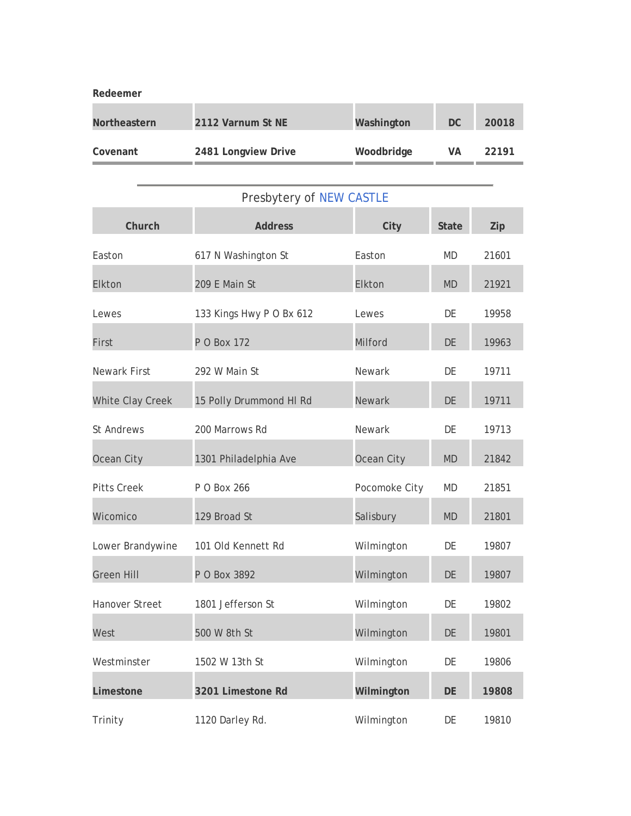#### **Redeemer**

| <b>Northeastern</b> | 2112 Varnum St NE   | Washington | DC. | 20018 |
|---------------------|---------------------|------------|-----|-------|
| Covenant            | 2481 Longview Drive | Woodbridge | VА  | 22191 |

| Presbytery of NEW CASTLE |                          |               |              |       |  |
|--------------------------|--------------------------|---------------|--------------|-------|--|
| Church                   | <b>Address</b>           | City          | <b>State</b> | Zip   |  |
| Easton                   | 617 N Washington St      | Easton        | <b>MD</b>    | 21601 |  |
| Elkton                   | 209 E Main St            | Elkton        | <b>MD</b>    | 21921 |  |
| Lewes                    | 133 Kings Hwy P O Bx 612 | Lewes         | DE           | 19958 |  |
| First                    | P O Box 172              | Milford       | DE           | 19963 |  |
| <b>Newark First</b>      | 292 W Main St            | <b>Newark</b> | DE           | 19711 |  |
| White Clay Creek         | 15 Polly Drummond HI Rd  | Newark        | DE           | 19711 |  |
| <b>St Andrews</b>        | 200 Marrows Rd           | <b>Newark</b> | DE           | 19713 |  |
| Ocean City               | 1301 Philadelphia Ave    | Ocean City    | <b>MD</b>    | 21842 |  |
| <b>Pitts Creek</b>       | P O Box 266              | Pocomoke City | <b>MD</b>    | 21851 |  |
| Wicomico                 | 129 Broad St             | Salisbury     | <b>MD</b>    | 21801 |  |
| Lower Brandywine         | 101 Old Kennett Rd       | Wilmington    | DE           | 19807 |  |
| <b>Green Hill</b>        | P O Box 3892             | Wilmington    | DE           | 19807 |  |
| Hanover Street           | 1801 Jefferson St        | Wilmington    | DE           | 19802 |  |
| West                     | 500 W 8th St             | Wilmington    | DE           | 19801 |  |
| Westminster              | 1502 W 13th St           | Wilmington    | DE           | 19806 |  |
| Limestone                | 3201 Limestone Rd        | Wilmington    | <b>DE</b>    | 19808 |  |
| Trinity                  | 1120 Darley Rd.          | Wilmington    | DE           | 19810 |  |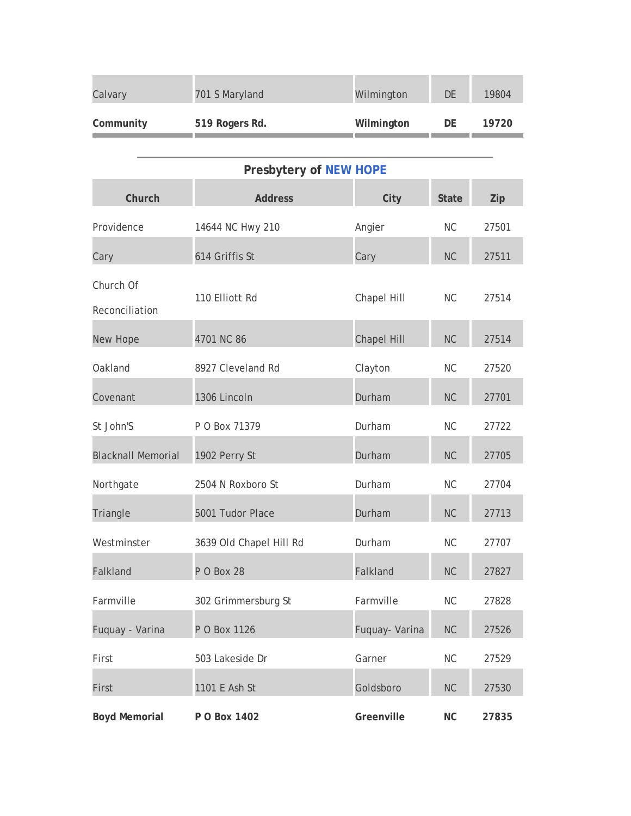| Calvary   | 701 S Maryland | Wilmington | DE | 19804 |
|-----------|----------------|------------|----|-------|
| Community | 519 Rogers Rd. | Wilmington | DE | 19720 |

| <b>Presbytery of NEW HOPE</b> |                         |                    |              |       |
|-------------------------------|-------------------------|--------------------|--------------|-------|
| Church                        | <b>Address</b>          | City               | <b>State</b> | Zip   |
| Providence                    | 14644 NC Hwy 210        | Angier             | <b>NC</b>    | 27501 |
| Cary                          | 614 Griffis St          | Cary               | <b>NC</b>    | 27511 |
| Church Of<br>Reconciliation   | 110 Elliott Rd          | Chapel Hill        | <b>NC</b>    | 27514 |
| New Hope                      | 4701 NC 86              | <b>Chapel Hill</b> | <b>NC</b>    | 27514 |
| Oakland                       | 8927 Cleveland Rd       | Clayton            | <b>NC</b>    | 27520 |
| Covenant                      | 1306 Lincoln            | Durham             | <b>NC</b>    | 27701 |
| St John'S                     | P O Box 71379           | Durham             | <b>NC</b>    | 27722 |
| <b>Blacknall Memorial</b>     | 1902 Perry St           | Durham             | <b>NC</b>    | 27705 |
| Northgate                     | 2504 N Roxboro St       | Durham             | <b>NC</b>    | 27704 |
| Triangle                      | 5001 Tudor Place        | Durham             | <b>NC</b>    | 27713 |
| Westminster                   | 3639 Old Chapel Hill Rd | Durham             | <b>NC</b>    | 27707 |
| Falkland                      | PO Box 28               | Falkland           | <b>NC</b>    | 27827 |
| Farmville                     | 302 Grimmersburg St     | Farmville          | <b>NC</b>    | 27828 |
| Fuquay - Varina               | P O Box 1126            | Fuquay- Varina     | <b>NC</b>    | 27526 |
| First                         | 503 Lakeside Dr         | Garner             | <b>NC</b>    | 27529 |
| First                         | 1101 E Ash St           | Goldsboro          | <b>NC</b>    | 27530 |
| <b>Boyd Memorial</b>          | P O Box 1402            | Greenville         | <b>NC</b>    | 27835 |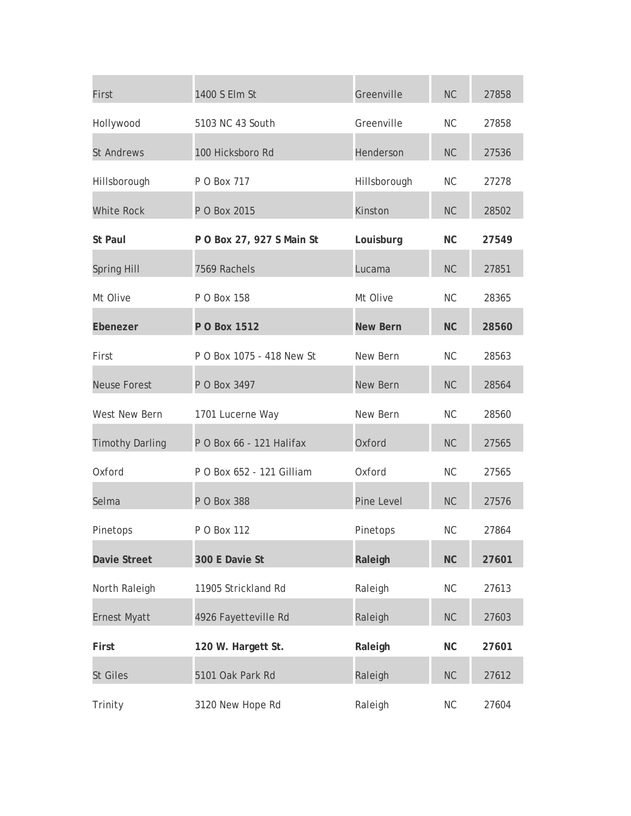| First                  | 1400 S Elm St             | Greenville      | <b>NC</b> | 27858 |
|------------------------|---------------------------|-----------------|-----------|-------|
| Hollywood              | 5103 NC 43 South          | Greenville      | <b>NC</b> | 27858 |
| <b>St Andrews</b>      | 100 Hicksboro Rd          | Henderson       | <b>NC</b> | 27536 |
| Hillsborough           | P O Box 717               | Hillsborough    | <b>NC</b> | 27278 |
| <b>White Rock</b>      | P O Box 2015              | Kinston         | <b>NC</b> | 28502 |
| St Paul                | P O Box 27, 927 S Main St | Louisburg       | <b>NC</b> | 27549 |
| <b>Spring Hill</b>     | 7569 Rachels              | Lucama          | <b>NC</b> | 27851 |
| Mt Olive               | P O Box 158               | Mt Olive        | <b>NC</b> | 28365 |
| Ebenezer               | P O Box 1512              | <b>New Bern</b> | <b>NC</b> | 28560 |
| First                  | P O Box 1075 - 418 New St | New Bern        | <b>NC</b> | 28563 |
| <b>Neuse Forest</b>    | P O Box 3497              | <b>New Bern</b> | <b>NC</b> | 28564 |
| West New Bern          | 1701 Lucerne Way          | New Bern        | <b>NC</b> | 28560 |
| <b>Timothy Darling</b> | P O Box 66 - 121 Halifax  | Oxford          | <b>NC</b> | 27565 |
| Oxford                 | P O Box 652 - 121 Gilliam | Oxford          | <b>NC</b> | 27565 |
| Selma                  | P O Box 388               | Pine Level      | <b>NC</b> | 27576 |
| Pinetops               | P O Box 112               | Pinetops        | <b>NC</b> | 27864 |
| <b>Davie Street</b>    | 300 E Davie St            | Raleigh         | <b>NC</b> | 27601 |
| North Raleigh          | 11905 Strickland Rd       | Raleigh         | <b>NC</b> | 27613 |
| <b>Ernest Myatt</b>    | 4926 Fayetteville Rd      | Raleigh         | <b>NC</b> | 27603 |
| First                  | 120 W. Hargett St.        | Raleigh         | <b>NC</b> | 27601 |
| <b>St Giles</b>        | 5101 Oak Park Rd          | Raleigh         | <b>NC</b> | 27612 |
| Trinity                | 3120 New Hope Rd          | Raleigh         | <b>NC</b> | 27604 |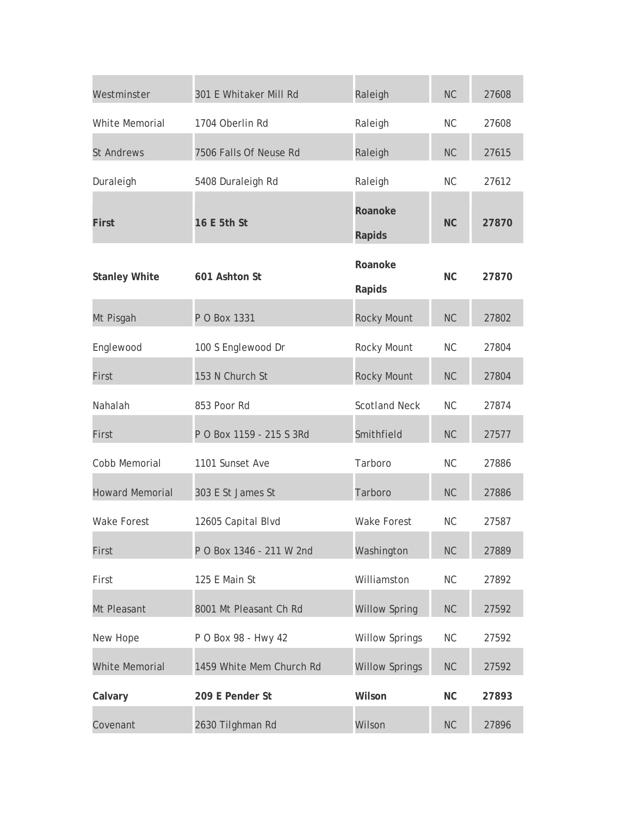| Westminster            | 301 E Whitaker Mill Rd   | Raleigh                  | <b>NC</b> | 27608 |
|------------------------|--------------------------|--------------------------|-----------|-------|
| White Memorial         | 1704 Oberlin Rd          | Raleigh                  | <b>NC</b> | 27608 |
| <b>St Andrews</b>      | 7506 Falls Of Neuse Rd   | Raleigh                  | <b>NC</b> | 27615 |
| Duraleigh              | 5408 Duraleigh Rd        | Raleigh                  | <b>NC</b> | 27612 |
| <b>First</b>           | 16 E 5th St              | Roanoke<br><b>Rapids</b> | <b>NC</b> | 27870 |
| <b>Stanley White</b>   | 601 Ashton St            | Roanoke<br>Rapids        | <b>NC</b> | 27870 |
| Mt Pisgah              | P O Box 1331             | <b>Rocky Mount</b>       | <b>NC</b> | 27802 |
| Englewood              | 100 S Englewood Dr       | Rocky Mount              | <b>NC</b> | 27804 |
| First                  | 153 N Church St          | <b>Rocky Mount</b>       | <b>NC</b> | 27804 |
| Nahalah                | 853 Poor Rd              | <b>Scotland Neck</b>     | <b>NC</b> | 27874 |
| First                  | P O Box 1159 - 215 S 3Rd | Smithfield               | <b>NC</b> | 27577 |
| Cobb Memorial          | 1101 Sunset Ave          | Tarboro                  | <b>NC</b> | 27886 |
| <b>Howard Memorial</b> | 303 E St James St        | Tarboro                  | <b>NC</b> | 27886 |
| <b>Wake Forest</b>     | 12605 Capital Blvd       | <b>Wake Forest</b>       | <b>NC</b> | 27587 |
| First                  | P O Box 1346 - 211 W 2nd | Washington               | <b>NC</b> | 27889 |
| First                  | 125 E Main St            | Williamston              | <b>NC</b> | 27892 |
| Mt Pleasant            | 8001 Mt Pleasant Ch Rd   | <b>Willow Spring</b>     | <b>NC</b> | 27592 |
| New Hope               | P O Box 98 - Hwy 42      | <b>Willow Springs</b>    | <b>NC</b> | 27592 |
| <b>White Memorial</b>  | 1459 White Mem Church Rd | <b>Willow Springs</b>    | <b>NC</b> | 27592 |
| Calvary                | 209 E Pender St          | Wilson                   | <b>NC</b> | 27893 |
| Covenant               | 2630 Tilghman Rd         | Wilson                   | <b>NC</b> | 27896 |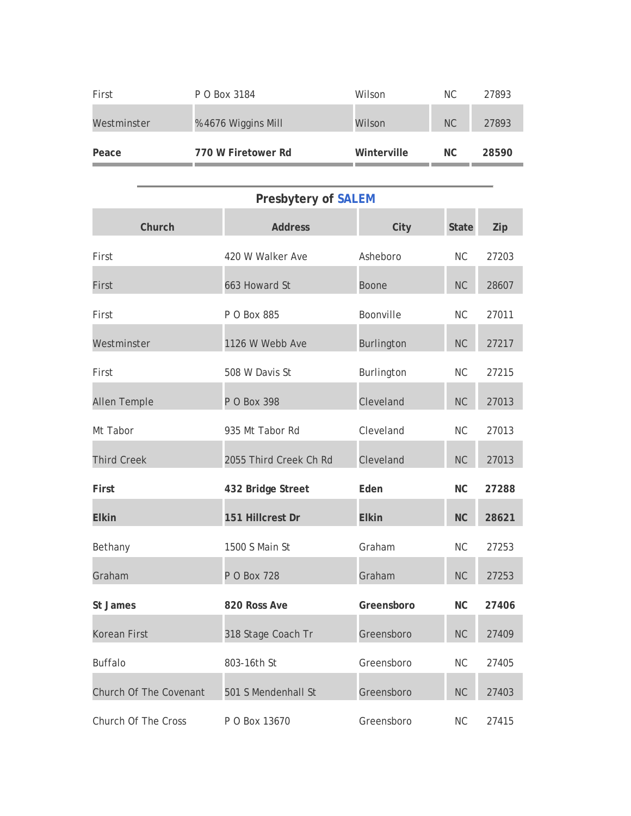| First       | P O Box 3184        | Wilson      | NC.       | 27893 |
|-------------|---------------------|-------------|-----------|-------|
| Westminster | % 4676 Wiggins Mill | Wilson      | <b>NC</b> | 27893 |
| Peace       | 770 W Firetower Rd  | Winterville | NC.       | 28590 |

| <b>Presbytery of SALEM</b> |                        |              |              |       |
|----------------------------|------------------------|--------------|--------------|-------|
| Church                     | <b>Address</b>         | City         | <b>State</b> | Zip   |
| First                      | 420 W Walker Ave       | Asheboro     | <b>NC</b>    | 27203 |
| First                      | 663 Howard St          | Boone        | <b>NC</b>    | 28607 |
| First                      | P O Box 885            | Boonville    | <b>NC</b>    | 27011 |
| Westminster                | 1126 W Webb Ave        | Burlington   | <b>NC</b>    | 27217 |
| First                      | 508 W Davis St         | Burlington   | <b>NC</b>    | 27215 |
| <b>Allen Temple</b>        | P O Box 398            | Cleveland    | <b>NC</b>    | 27013 |
| Mt Tabor                   | 935 Mt Tabor Rd        | Cleveland    | <b>NC</b>    | 27013 |
| <b>Third Creek</b>         | 2055 Third Creek Ch Rd | Cleveland    | <b>NC</b>    | 27013 |
| First                      | 432 Bridge Street      | Eden         | <b>NC</b>    | 27288 |
| <b>Elkin</b>               | 151 Hillcrest Dr       | <b>Elkin</b> | <b>NC</b>    | 28621 |
| Bethany                    | 1500 S Main St         | Graham       | <b>NC</b>    | 27253 |
| Graham                     | P O Box 728            | Graham       | <b>NC</b>    | 27253 |
| St James                   | 820 Ross Ave           | Greensboro   | <b>NC</b>    | 27406 |
| Korean First               | 318 Stage Coach Tr     | Greensboro   | <b>NC</b>    | 27409 |
| <b>Buffalo</b>             | 803-16th St            | Greensboro   | <b>NC</b>    | 27405 |
| Church Of The Covenant     | 501 S Mendenhall St    | Greensboro   | <b>NC</b>    | 27403 |
| Church Of The Cross        | P O Box 13670          | Greensboro   | <b>NC</b>    | 27415 |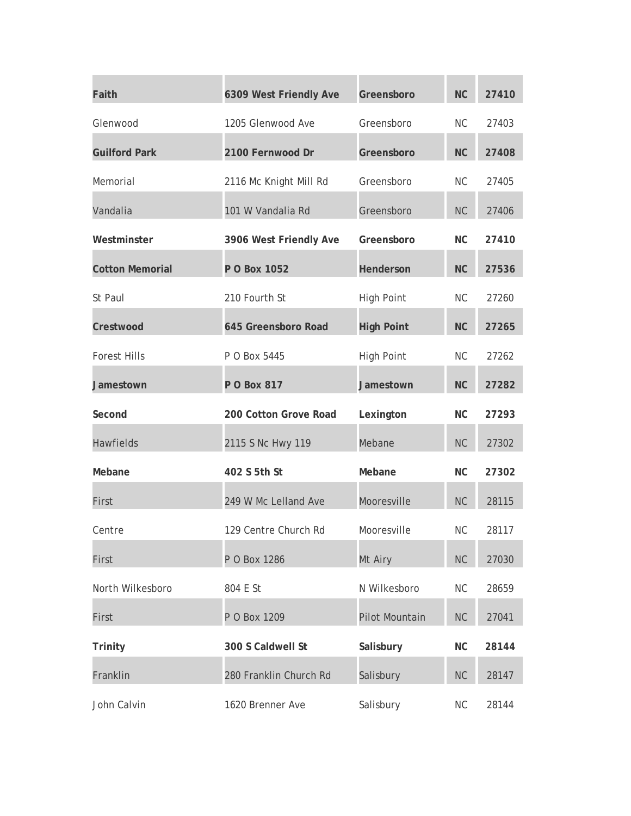| Faith                  | 6309 West Friendly Ave | Greensboro        | <b>NC</b> | 27410 |
|------------------------|------------------------|-------------------|-----------|-------|
| Glenwood               | 1205 Glenwood Ave      | Greensboro        | <b>NC</b> | 27403 |
| <b>Guilford Park</b>   | 2100 Fernwood Dr       | Greensboro        | <b>NC</b> | 27408 |
| Memorial               | 2116 Mc Knight Mill Rd | Greensboro        | <b>NC</b> | 27405 |
| Vandalia               | 101 W Vandalia Rd      | Greensboro        | <b>NC</b> | 27406 |
| Westminster            | 3906 West Friendly Ave | Greensboro        | <b>NC</b> | 27410 |
| <b>Cotton Memorial</b> | P O Box 1052           | Henderson         | <b>NC</b> | 27536 |
| St Paul                | 210 Fourth St          | <b>High Point</b> | <b>NC</b> | 27260 |
| Crestwood              | 645 Greensboro Road    | <b>High Point</b> | <b>NC</b> | 27265 |
| <b>Forest Hills</b>    | P O Box 5445           | <b>High Point</b> | <b>NC</b> | 27262 |
| Jamestown              | P O Box 817            | Jamestown         | <b>NC</b> | 27282 |
| Second                 | 200 Cotton Grove Road  | Lexington         | <b>NC</b> | 27293 |
| <b>Hawfields</b>       | 2115 S Nc Hwy 119      | Mebane            | <b>NC</b> | 27302 |
| Mebane                 | 402 S 5th St           | Mebane            | <b>NC</b> | 27302 |
| First                  | 249 W Mc Lelland Ave   | Mooresville       | <b>NC</b> | 28115 |
| Centre                 | 129 Centre Church Rd   | Mooresville       | <b>NC</b> | 28117 |
| First                  | P O Box 1286           | Mt Airy           | <b>NC</b> | 27030 |
| North Wilkesboro       | 804 E St               | N Wilkesboro      | <b>NC</b> | 28659 |
| First                  | P O Box 1209           | Pilot Mountain    | <b>NC</b> | 27041 |
| Trinity                | 300 S Caldwell St      | Salisbury         | <b>NC</b> | 28144 |
| Franklin               | 280 Franklin Church Rd | Salisbury         | <b>NC</b> | 28147 |
| John Calvin            | 1620 Brenner Ave       | Salisbury         | <b>NC</b> | 28144 |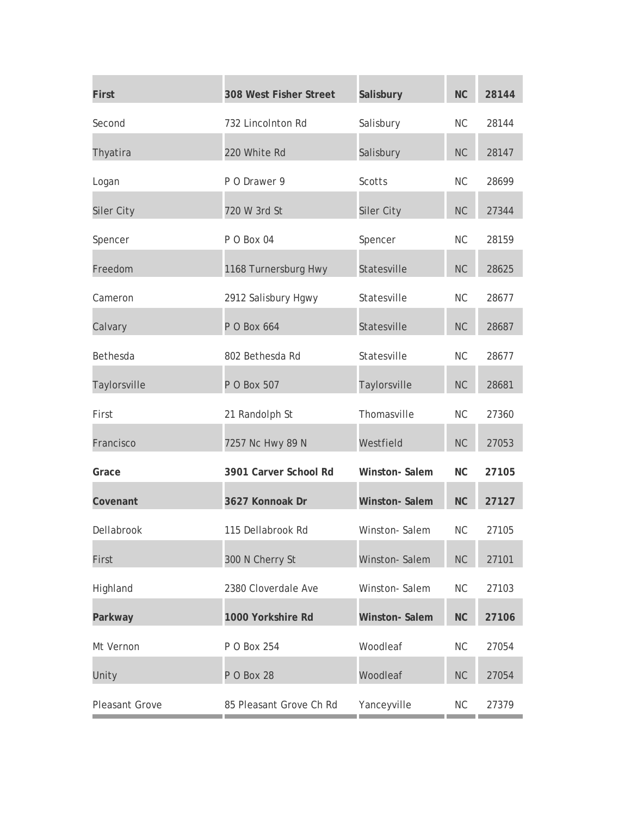| <b>First</b>   | 308 West Fisher Street  | Salisbury            | <b>NC</b> | 28144 |
|----------------|-------------------------|----------------------|-----------|-------|
| Second         | 732 Lincolnton Rd       | Salisbury            | <b>NC</b> | 28144 |
| Thyatira       | 220 White Rd            | Salisbury            | <b>NC</b> | 28147 |
| Logan          | P O Drawer 9            | Scotts               | <b>NC</b> | 28699 |
| Siler City     | 720 W 3rd St            | Siler City           | <b>NC</b> | 27344 |
| Spencer        | P O Box 04              | Spencer              | <b>NC</b> | 28159 |
| Freedom        | 1168 Turnersburg Hwy    | Statesville          | <b>NC</b> | 28625 |
| Cameron        | 2912 Salisbury Hgwy     | Statesville          | <b>NC</b> | 28677 |
| Calvary        | P O Box 664             | Statesville          | <b>NC</b> | 28687 |
| Bethesda       | 802 Bethesda Rd         | Statesville          | <b>NC</b> | 28677 |
| Taylorsville   | P O Box 507             | Taylorsville         | <b>NC</b> | 28681 |
| First          | 21 Randolph St          | Thomasville          | <b>NC</b> | 27360 |
| Francisco      | 7257 Nc Hwy 89 N        | Westfield            | <b>NC</b> | 27053 |
| Grace          | 3901 Carver School Rd   | <b>Winston-Salem</b> | <b>NC</b> | 27105 |
| Covenant       | 3627 Konnoak Dr         | <b>Winston-Salem</b> | <b>NC</b> | 27127 |
| Dellabrook     | 115 Dellabrook Rd       | Winston-Salem        | <b>NC</b> | 27105 |
| First          | 300 N Cherry St         | Winston-Salem        | <b>NC</b> | 27101 |
| Highland       | 2380 Cloverdale Ave     | Winston-Salem        | <b>NC</b> | 27103 |
| Parkway        | 1000 Yorkshire Rd       | <b>Winston-Salem</b> | <b>NC</b> | 27106 |
| Mt Vernon      | P O Box 254             | Woodleaf             | <b>NC</b> | 27054 |
| Unity          | PO Box 28               | Woodleaf             | <b>NC</b> | 27054 |
| Pleasant Grove | 85 Pleasant Grove Ch Rd | Yanceyville          | <b>NC</b> | 27379 |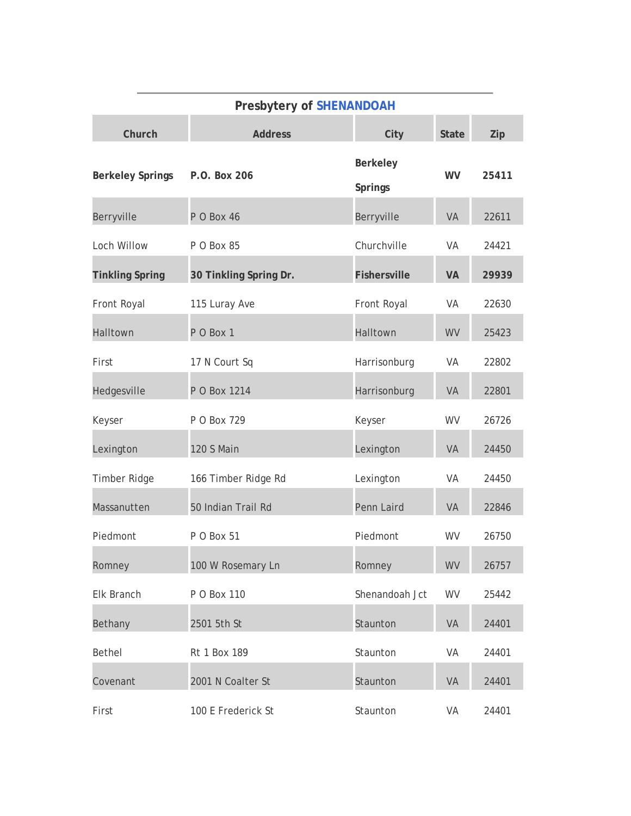| <b>Presbytery of SHENANDOAH</b> |                        |                            |              |       |
|---------------------------------|------------------------|----------------------------|--------------|-------|
| Church                          | <b>Address</b>         | City                       | <b>State</b> | Zip   |
| <b>Berkeley Springs</b>         | P.O. Box 206           | <b>Berkeley</b><br>Springs | <b>WV</b>    | 25411 |
| Berryville                      | P O Box 46             | Berryville                 | VA           | 22611 |
| Loch Willow                     | P O Box 85             | Churchville                | VA           | 24421 |
| <b>Tinkling Spring</b>          | 30 Tinkling Spring Dr. | <b>Fishersville</b>        | VA           | 29939 |
| Front Royal                     | 115 Luray Ave          | Front Royal                | VA           | 22630 |
| Halltown                        | PO Box 1               | Halltown                   | <b>WV</b>    | 25423 |
| First                           | 17 N Court Sq          | Harrisonburg               | VA           | 22802 |
| Hedgesville                     | P O Box 1214           | Harrisonburg               | VA           | 22801 |
| Keyser                          | P O Box 729            | Keyser                     | <b>WV</b>    | 26726 |
| Lexington                       | 120 S Main             | Lexington                  | VA           | 24450 |
| Timber Ridge                    | 166 Timber Ridge Rd    | Lexington                  | VA           | 24450 |
| Massanutten                     | 50 Indian Trail Rd     | Penn Laird                 | VA           | 22846 |
| Piedmont                        | P O Box 51             | Piedmont                   | <b>WV</b>    | 26750 |
| Romney                          | 100 W Rosemary Ln      | Romney                     | <b>WV</b>    | 26757 |
| Elk Branch                      | P O Box 110            | Shenandoah Jct             | <b>WV</b>    | 25442 |
| Bethany                         | 2501 5th St            | Staunton                   | VA           | 24401 |
| <b>Bethel</b>                   | Rt 1 Box 189           | Staunton                   | VA           | 24401 |
| Covenant                        | 2001 N Coalter St      | Staunton                   | VA           | 24401 |
| First                           | 100 E Frederick St     | Staunton                   | VA           | 24401 |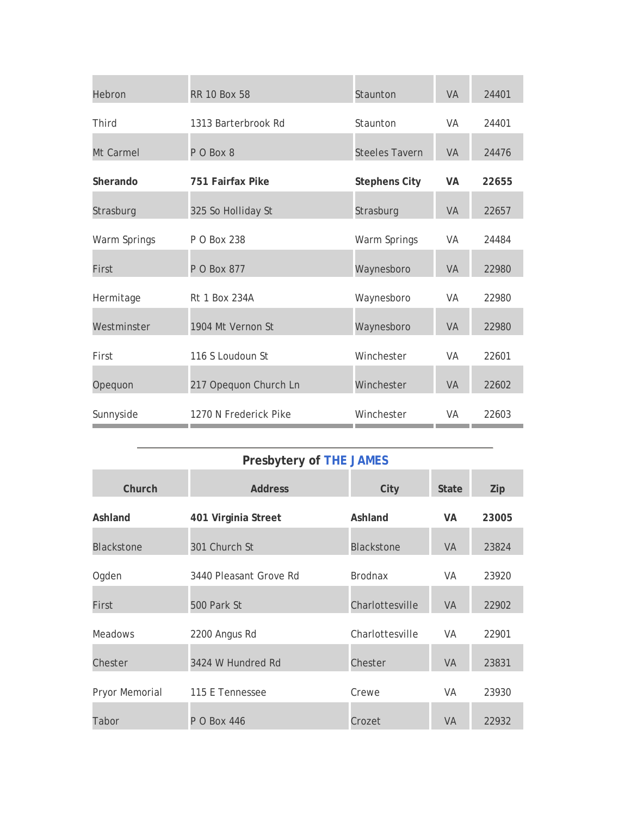| <b>Hebron</b> | RR 10 Box 58          | Staunton              | <b>VA</b> | 24401 |
|---------------|-----------------------|-----------------------|-----------|-------|
| <b>Third</b>  | 1313 Barterbrook Rd   | Staunton              | VA        | 24401 |
| Mt Carmel     | P O Box 8             | <b>Steeles Tavern</b> | <b>VA</b> | 24476 |
| Sherando      | 751 Fairfax Pike      | <b>Stephens City</b>  | <b>VA</b> | 22655 |
| Strasburg     | 325 So Holliday St    | Strasburg             | <b>VA</b> | 22657 |
| Warm Springs  | P O Box 238           | Warm Springs          | <b>VA</b> | 24484 |
| First         | P O Box 877           | Waynesboro            | <b>VA</b> | 22980 |
| Hermitage     | Rt 1 Box 234A         | Waynesboro            | <b>VA</b> | 22980 |
| Westminster   | 1904 Mt Vernon St     | Waynesboro            | <b>VA</b> | 22980 |
| First         | 116 S Loudoun St      | Winchester            | VA        | 22601 |
| Opequon       | 217 Opequon Church Ln | Winchester            | <b>VA</b> | 22602 |
| Sunnyside     | 1270 N Frederick Pike | Winchester            | <b>VA</b> | 22603 |

| <b>Presbytery of THE JAMES</b> |                        |                   |              |       |
|--------------------------------|------------------------|-------------------|--------------|-------|
| Church                         | <b>Address</b>         | City              | <b>State</b> | Zip   |
| Ashland                        | 401 Virginia Street    | Ashland           | <b>VA</b>    | 23005 |
| <b>Blackstone</b>              | 301 Church St          | <b>Blackstone</b> | VA.          | 23824 |
| Ogden                          | 3440 Pleasant Grove Rd | <b>Brodnax</b>    | VA           | 23920 |
| First                          | 500 Park St            | Charlottesville   | <b>VA</b>    | 22902 |
| <b>Meadows</b>                 | 2200 Angus Rd          | Charlottesville   | VA           | 22901 |
| Chester                        | 3424 W Hundred Rd      | Chester           | <b>VA</b>    | 23831 |
| Pryor Memorial                 | 115 E Tennessee        | Crewe             | VA           | 23930 |
| Tabor                          | P O Box 446            | Crozet            | <b>VA</b>    | 22932 |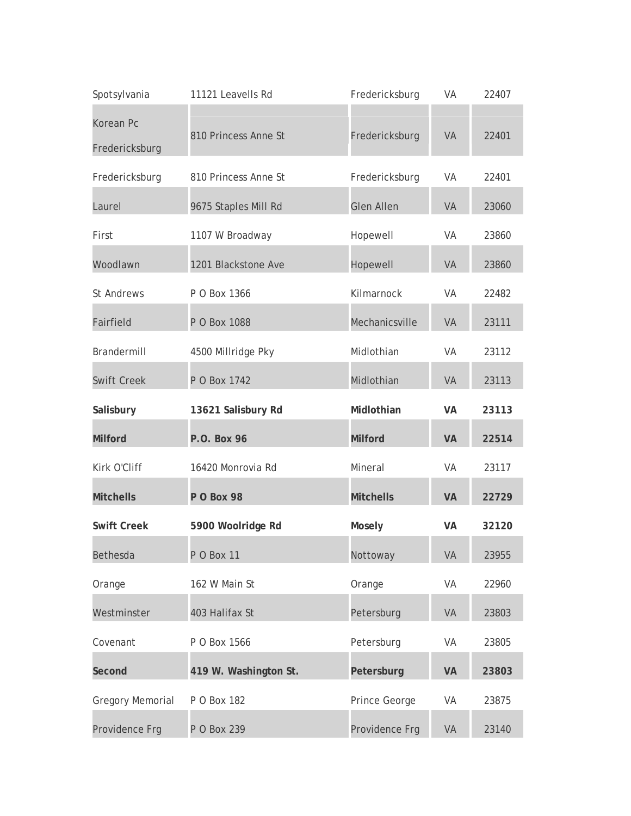| Spotsylvania                | 11121 Leavells Rd     | Fredericksburg    | VA        | 22407 |
|-----------------------------|-----------------------|-------------------|-----------|-------|
| Korean Pc<br>Fredericksburg | 810 Princess Anne St  | Fredericksburg    | <b>VA</b> | 22401 |
| Fredericksburg              | 810 Princess Anne St  | Fredericksburg    | VA        | 22401 |
| Laurel                      | 9675 Staples Mill Rd  | <b>Glen Allen</b> | <b>VA</b> | 23060 |
| First                       | 1107 W Broadway       | Hopewell          | VA        | 23860 |
| Woodlawn                    | 1201 Blackstone Ave   | Hopewell          | VA        | 23860 |
| <b>St Andrews</b>           | P O Box 1366          | Kilmarnock        | <b>VA</b> | 22482 |
| <b>Fairfield</b>            | P O Box 1088          | Mechanicsville    | VA        | 23111 |
| Brandermill                 | 4500 Millridge Pky    | Midlothian        | VA        | 23112 |
| <b>Swift Creek</b>          | P O Box 1742          | Midlothian        | VA        | 23113 |
| Salisbury                   | 13621 Salisbury Rd    | Midlothian        | VA        | 23113 |
| <b>Milford</b>              | P.O. Box 96           | <b>Milford</b>    | <b>VA</b> | 22514 |
| Kirk O'Cliff                | 16420 Monrovia Rd     | Mineral           | VA        | 23117 |
| <b>Mitchells</b>            | PO Box 98             | <b>Mitchells</b>  | <b>VA</b> | 22729 |
| <b>Swift Creek</b>          | 5900 Woolridge Rd     | <b>Mosely</b>     | VA        | 32120 |
| Bethesda                    | PO Box 11             | Nottoway          | VA        | 23955 |
| Orange                      | 162 W Main St         | Orange            | VA        | 22960 |
| Westminster                 | 403 Halifax St        | Petersburg        | VA        | 23803 |
| Covenant                    | P O Box 1566          | Petersburg        | VA        | 23805 |
| Second                      | 419 W. Washington St. | Petersburg        | VA        | 23803 |
| <b>Gregory Memorial</b>     | P O Box 182           | Prince George     | VA        | 23875 |
| Providence Frg              | P O Box 239           | Providence Frg    | VA        | 23140 |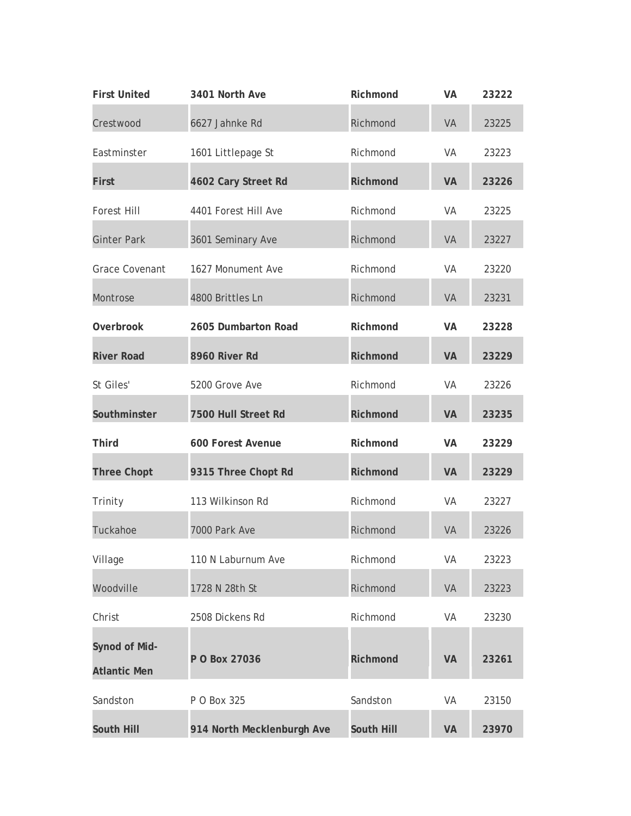| <b>First United</b>                  | 3401 North Ave             | Richmond        | VA        | 23222 |
|--------------------------------------|----------------------------|-----------------|-----------|-------|
| Crestwood                            | 6627 Jahnke Rd             | Richmond        | <b>VA</b> | 23225 |
| Eastminster                          | 1601 Littlepage St         | Richmond        | VA        | 23223 |
| <b>First</b>                         | 4602 Cary Street Rd        | Richmond        | <b>VA</b> | 23226 |
| <b>Forest Hill</b>                   | 4401 Forest Hill Ave       | Richmond        | VA        | 23225 |
| <b>Ginter Park</b>                   | 3601 Seminary Ave          | Richmond        | <b>VA</b> | 23227 |
| <b>Grace Covenant</b>                | 1627 Monument Ave          | Richmond        | VA        | 23220 |
| Montrose                             | 4800 Brittles Ln           | Richmond        | VA        | 23231 |
| Overbrook                            | 2605 Dumbarton Road        | Richmond        | VA        | 23228 |
| <b>River Road</b>                    | 8960 River Rd              | Richmond        | <b>VA</b> | 23229 |
| St Giles'                            | 5200 Grove Ave             | Richmond        | VA        | 23226 |
| Southminster                         | 7500 Hull Street Rd        | <b>Richmond</b> | <b>VA</b> | 23235 |
| <b>Third</b>                         | 600 Forest Avenue          | Richmond        | VA        | 23229 |
| <b>Three Chopt</b>                   | 9315 Three Chopt Rd        | <b>Richmond</b> | <b>VA</b> | 23229 |
| Trinity                              | 113 Wilkinson Rd           | Richmond        | VA        | 23227 |
| Tuckahoe                             | 7000 Park Ave              | Richmond        | <b>VA</b> | 23226 |
| Village                              | 110 N Laburnum Ave         | Richmond        | VA        | 23223 |
| Woodville                            | 1728 N 28th St             | Richmond        | VA        | 23223 |
| Christ                               | 2508 Dickens Rd            | Richmond        | VA        | 23230 |
| Synod of Mid-<br><b>Atlantic Men</b> | P O Box 27036              | <b>Richmond</b> | <b>VA</b> | 23261 |
| Sandston                             | P O Box 325                | Sandston        | VA        | 23150 |
| South Hill                           | 914 North Mecklenburgh Ave | South Hill      | VA        | 23970 |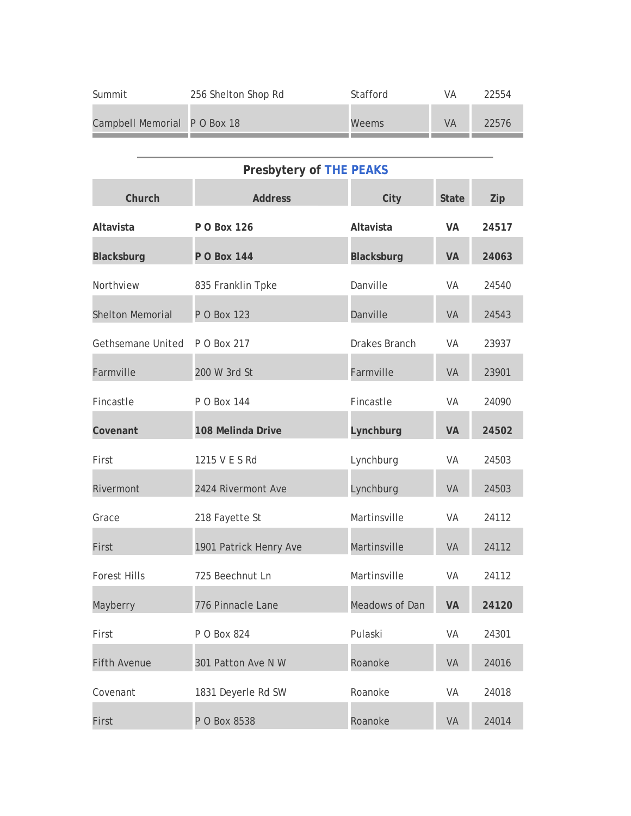| Summit                       | 256 Shelton Shop Rd | Stafford | VА | 22554 |
|------------------------------|---------------------|----------|----|-------|
| Campbell Memorial P O Box 18 |                     | Weems    | VA | 22576 |

| <b>Presbytery of THE PEAKS</b> |                        |                   |              |       |  |
|--------------------------------|------------------------|-------------------|--------------|-------|--|
| Church                         | <b>Address</b>         | City              | <b>State</b> | Zip   |  |
| Altavista                      | P O Box 126            | Altavista         | <b>VA</b>    | 24517 |  |
| <b>Blacksburg</b>              | P O Box 144            | <b>Blacksburg</b> | <b>VA</b>    | 24063 |  |
| Northview                      | 835 Franklin Tpke      | Danville          | VA           | 24540 |  |
| <b>Shelton Memorial</b>        | P O Box 123            | Danville          | <b>VA</b>    | 24543 |  |
| Gethsemane United              | P O Box 217            | Drakes Branch     | <b>VA</b>    | 23937 |  |
| Farmville                      | 200 W 3rd St           | Farmville         | <b>VA</b>    | 23901 |  |
| Fincastle                      | P O Box 144            | Fincastle         | VA           | 24090 |  |
| Covenant                       | 108 Melinda Drive      | Lynchburg         | <b>VA</b>    | 24502 |  |
| First                          | 1215 V E S Rd          | Lynchburg         | VA           | 24503 |  |
| Rivermont                      | 2424 Rivermont Ave     | Lynchburg         | <b>VA</b>    | 24503 |  |
| Grace                          | 218 Fayette St         | Martinsville      | <b>VA</b>    | 24112 |  |
| First                          | 1901 Patrick Henry Ave | Martinsville      | <b>VA</b>    | 24112 |  |
| <b>Forest Hills</b>            | 725 Beechnut Ln        | Martinsville      | <b>VA</b>    | 24112 |  |
| Mayberry                       | 776 Pinnacle Lane      | Meadows of Dan    | <b>VA</b>    | 24120 |  |
| First                          | P O Box 824            | Pulaski           | VA           | 24301 |  |
| <b>Fifth Avenue</b>            | 301 Patton Ave N W     | Roanoke           | VA           | 24016 |  |
| Covenant                       | 1831 Deyerle Rd SW     | Roanoke           | VA           | 24018 |  |
| First                          | P O Box 8538           | Roanoke           | VA           | 24014 |  |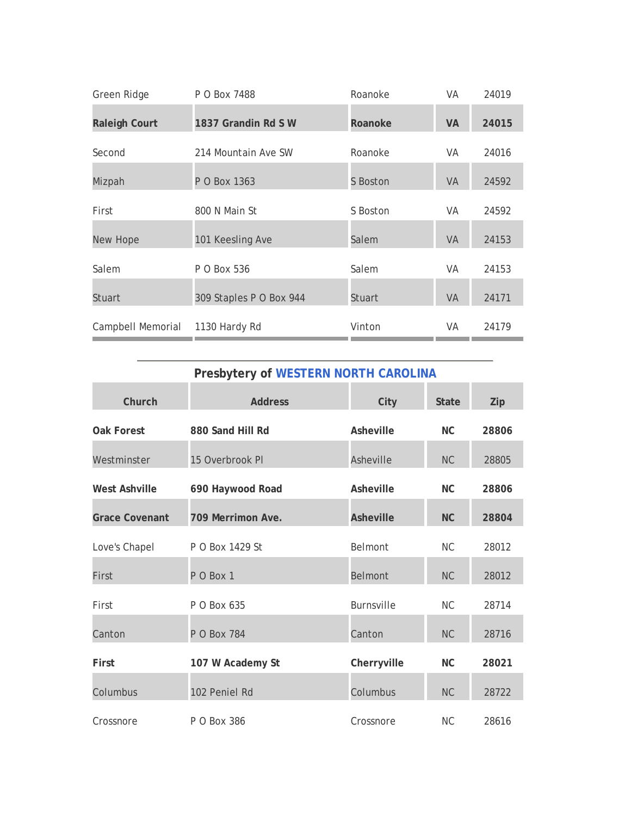| Green Ridge          | P O Box 7488            | Roanoke  | VA        | 24019 |
|----------------------|-------------------------|----------|-----------|-------|
| <b>Raleigh Court</b> | 1837 Grandin Rd S W     | Roanoke  | <b>VA</b> | 24015 |
| Second               | 214 Mountain Ave SW     | Roanoke  | VA        | 24016 |
| Mizpah               | P O Box 1363            | S Boston | <b>VA</b> | 24592 |
| First                | 800 N Main St           | S Boston | VA        | 24592 |
| New Hope             | 101 Keesling Ave        | Salem    | VA.       | 24153 |
| Salem                | P O Box 536             | Salem    | VA        | 24153 |
| Stuart               | 309 Staples P O Box 944 | Stuart   | <b>VA</b> | 24171 |
|                      |                         |          |           |       |
| Campbell Memorial    | 1130 Hardy Rd           | Vinton   | VA        | 24179 |

| Presbytery of WESTERN NORTH CAROLINA |                   |                   |              |       |
|--------------------------------------|-------------------|-------------------|--------------|-------|
| Church                               | <b>Address</b>    | City              | <b>State</b> | Zip   |
| Oak Forest                           | 880 Sand Hill Rd  | Asheville         | <b>NC</b>    | 28806 |
| Westminster                          | 15 Overbrook PI   | Asheville         | NC           | 28805 |
| <b>West Ashville</b>                 | 690 Haywood Road  | Asheville         | <b>NC</b>    | 28806 |
| <b>Grace Covenant</b>                | 709 Merrimon Ave. | <b>Asheville</b>  | <b>NC</b>    | 28804 |
| Love's Chapel                        | P O Box 1429 St   | Belmont           | <b>NC</b>    | 28012 |
| First                                | PO Box 1          | <b>Belmont</b>    | <b>NC</b>    | 28012 |
| First                                | P O Box 635       | <b>Burnsville</b> | <b>NC</b>    | 28714 |
| Canton                               | P O Box 784       | Canton            | <b>NC</b>    | 28716 |
| First                                | 107 W Academy St  | Cherryville       | <b>NC</b>    | 28021 |
| Columbus                             | 102 Peniel Rd     | Columbus          | <b>NC</b>    | 28722 |
| Crossnore                            | P O Box 386       | Crossnore         | <b>NC</b>    | 28616 |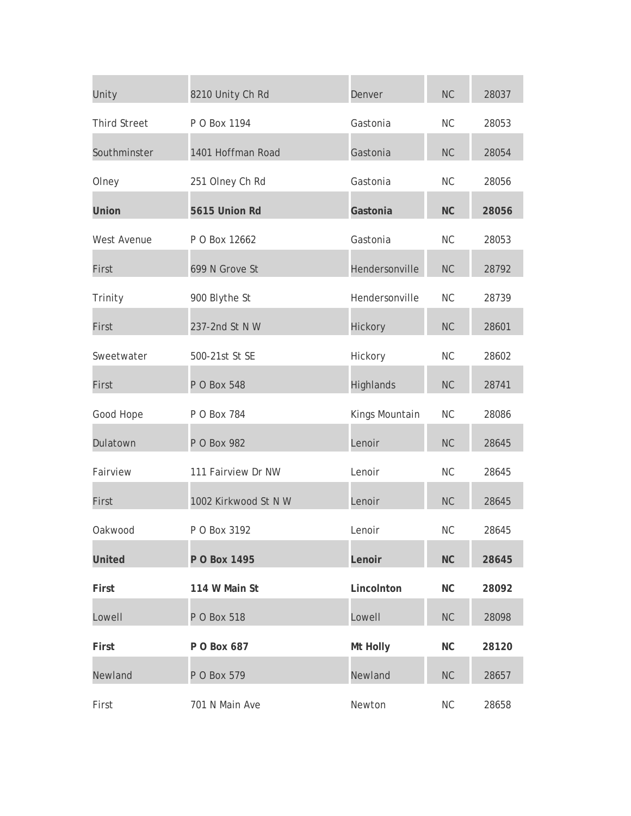| Unity               | 8210 Unity Ch Rd     | Denver         | <b>NC</b> | 28037 |
|---------------------|----------------------|----------------|-----------|-------|
| <b>Third Street</b> | P O Box 1194         | Gastonia       | <b>NC</b> | 28053 |
| Southminster        | 1401 Hoffman Road    | Gastonia       | <b>NC</b> | 28054 |
| Olney               | 251 Olney Ch Rd      | Gastonia       | <b>NC</b> | 28056 |
| Union               | 5615 Union Rd        | Gastonia       | <b>NC</b> | 28056 |
| West Avenue         | P O Box 12662        | Gastonia       | <b>NC</b> | 28053 |
| First               | 699 N Grove St       | Hendersonville | <b>NC</b> | 28792 |
| Trinity             | 900 Blythe St        | Hendersonville | <b>NC</b> | 28739 |
| First               | 237-2nd St N W       | Hickory        | <b>NC</b> | 28601 |
| Sweetwater          | 500-21st St SE       | Hickory        | <b>NC</b> | 28602 |
| First               | P O Box 548          | Highlands      | <b>NC</b> | 28741 |
| Good Hope           | P O Box 784          | Kings Mountain | <b>NC</b> | 28086 |
| Dulatown            | P O Box 982          | Lenoir         | <b>NC</b> | 28645 |
| Fairview            | 111 Fairview Dr NW   | Lenoir         | <b>NC</b> | 28645 |
| First               | 1002 Kirkwood St N W | Lenoir         | <b>NC</b> | 28645 |
| Oakwood             | P O Box 3192         | Lenoir         | <b>NC</b> | 28645 |
| <b>United</b>       | P O Box 1495         | Lenoir         | <b>NC</b> | 28645 |
| First               | 114 W Main St        | Lincolnton     | <b>NC</b> | 28092 |
| Lowell              | P O Box 518          | Lowell         | <b>NC</b> | 28098 |
| First               | P O Box 687          | Mt Holly       | <b>NC</b> | 28120 |
| Newland             | P O Box 579          | Newland        | <b>NC</b> | 28657 |
| First               | 701 N Main Ave       | Newton         | <b>NC</b> | 28658 |